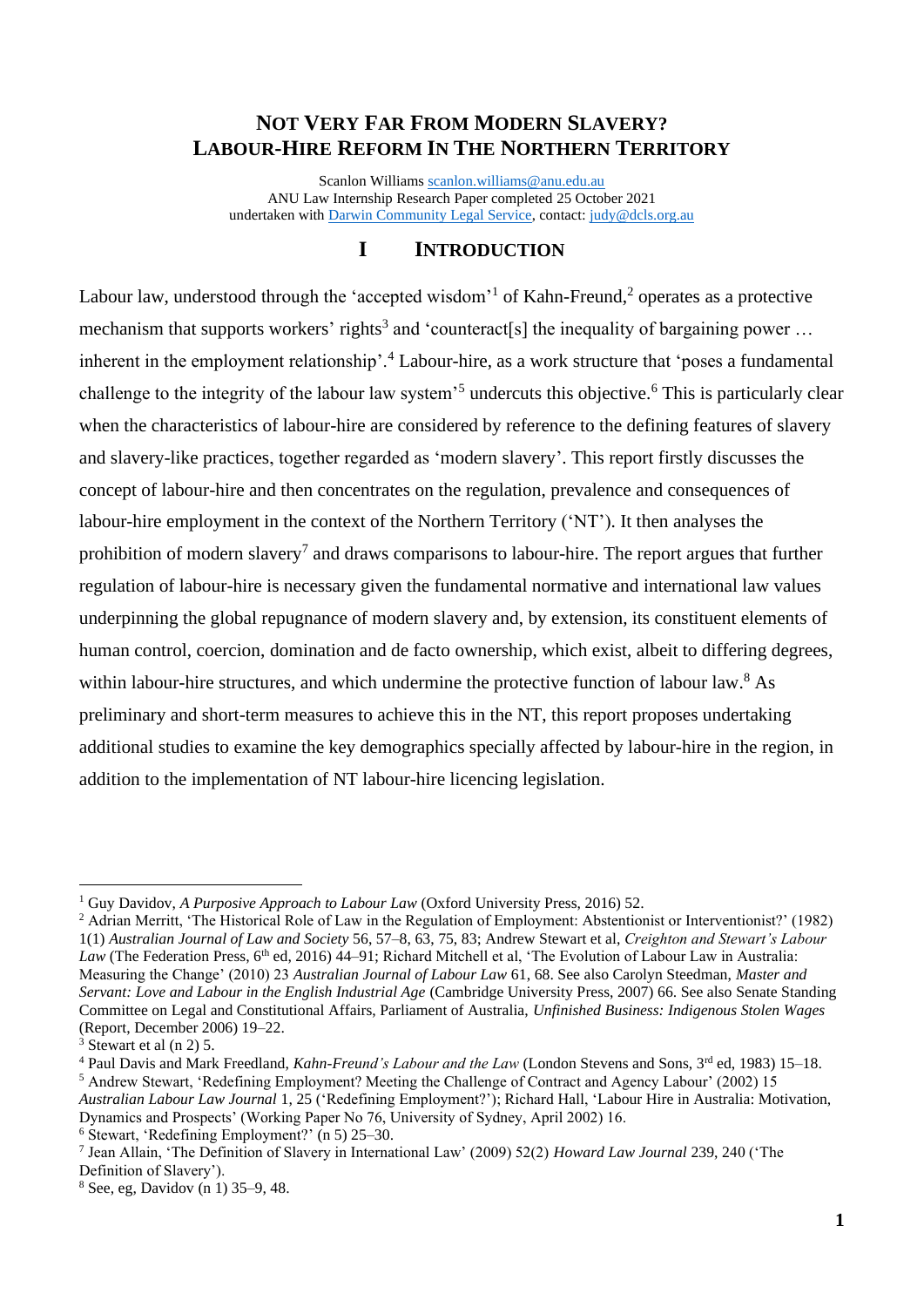# **NOT VERY FAR FROM MODERN SLAVERY? LABOUR-HIRE REFORM IN THE NORTHERN TERRITORY**

Scanlon William[s scanlon.williams@anu.edu.au](mailto:scanlon.williams@anu.edu.au) ANU Law Internship Research Paper completed 25 October 2021 undertaken with [Darwin Community Legal Service,](http://www.dcls.org.au/) contact: [judy@dcls.org.au](mailto:judy@dcls.org.au)

# **I INTRODUCTION**

Labour law, understood through the 'accepted wisdom' of Kahn-Freund,  $2$  operates as a protective mechanism that supports workers' rights<sup>3</sup> and 'counteract[s] the inequality of bargaining power ... inherent in the employment relationship'.<sup>4</sup> Labour-hire, as a work structure that 'poses a fundamental challenge to the integrity of the labour law system<sup>55</sup> undercuts this objective.<sup>6</sup> This is particularly clear when the characteristics of labour-hire are considered by reference to the defining features of slavery and slavery-like practices, together regarded as 'modern slavery'. This report firstly discusses the concept of labour-hire and then concentrates on the regulation, prevalence and consequences of labour-hire employment in the context of the Northern Territory ('NT'). It then analyses the prohibition of modern slavery<sup>7</sup> and draws comparisons to labour-hire. The report argues that further regulation of labour-hire is necessary given the fundamental normative and international law values underpinning the global repugnance of modern slavery and, by extension, its constituent elements of human control, coercion, domination and de facto ownership, which exist, albeit to differing degrees, within labour-hire structures, and which undermine the protective function of labour law.<sup>8</sup> As preliminary and short-term measures to achieve this in the NT, this report proposes undertaking additional studies to examine the key demographics specially affected by labour-hire in the region, in addition to the implementation of NT labour-hire licencing legislation.

<sup>1</sup> Guy Davidov, *A Purposive Approach to Labour Law* (Oxford University Press, 2016) 52.

<sup>&</sup>lt;sup>2</sup> Adrian Merritt, 'The Historical Role of Law in the Regulation of Employment: Abstentionist or Interventionist?' (1982) 1(1) *Australian Journal of Law and Society* 56, 57–8, 63, 75, 83; Andrew Stewart et al, *Creighton and Stewart's Labour Law* (The Federation Press, 6<sup>th</sup> ed, 2016) 44–91; Richard Mitchell et al, 'The Evolution of Labour Law in Australia: Measuring the Change' (2010) 23 *Australian Journal of Labour Law* 61, 68. See also Carolyn Steedman, *Master and Servant: Love and Labour in the English Industrial Age* (Cambridge University Press, 2007) 66. See also Senate Standing Committee on Legal and Constitutional Affairs, Parliament of Australia, *Unfinished Business: Indigenous Stolen Wages*  (Report, December 2006) 19–22.

 $3$  Stewart et al (n 2) 5.

<sup>4</sup> Paul Davis and Mark Freedland, *Kahn-Freund's Labour and the Law* (London Stevens and Sons, 3rd ed, 1983) 15–18. <sup>5</sup> Andrew Stewart, 'Redefining Employment? Meeting the Challenge of Contract and Agency Labour' (2002) 15 *Australian Labour Law Journal* 1, 25 ('Redefining Employment?'); Richard Hall, 'Labour Hire in Australia: Motivation,

Dynamics and Prospects' (Working Paper No 76, University of Sydney, April 2002) 16.

 $6$  Stewart, 'Redefining Employment?' (n 5) 25–30.

<sup>7</sup> Jean Allain, 'The Definition of Slavery in International Law' (2009) 52(2) *Howard Law Journal* 239, 240 ('The Definition of Slavery').

<sup>8</sup> See, eg, Davidov (n 1) 35–9, 48.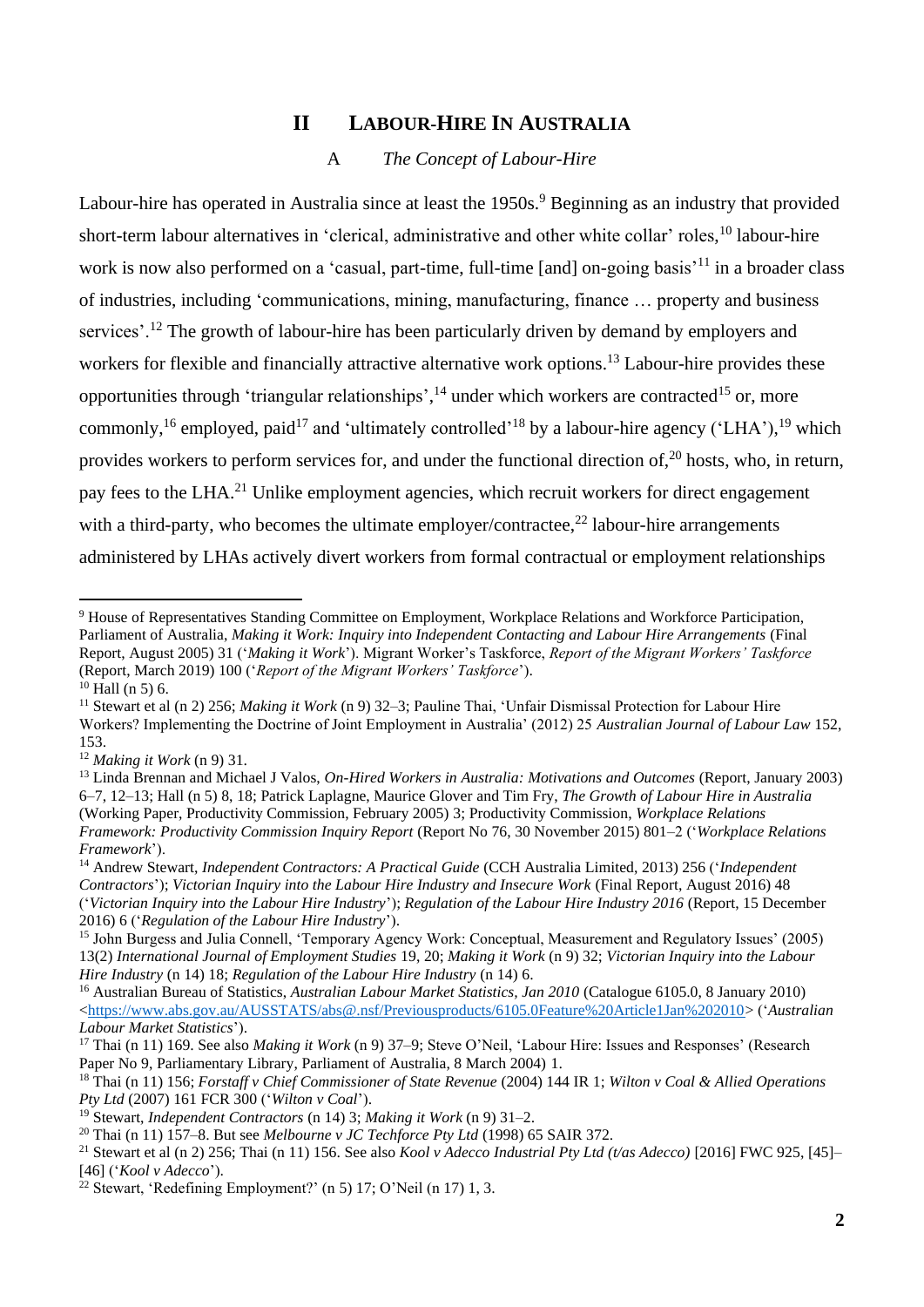# **II LABOUR-HIRE IN AUSTRALIA**

#### A *The Concept of Labour-Hire*

Labour-hire has operated in Australia since at least the 1950s.<sup>9</sup> Beginning as an industry that provided short-term labour alternatives in 'clerical, administrative and other white collar' roles, <sup>10</sup> labour-hire work is now also performed on a 'casual, part-time, full-time [and] on-going basis<sup>'11</sup> in a broader class of industries, including 'communications, mining, manufacturing, finance … property and business services'.<sup>12</sup> The growth of labour-hire has been particularly driven by demand by employers and workers for flexible and financially attractive alternative work options.<sup>13</sup> Labour-hire provides these opportunities through 'triangular relationships',<sup>14</sup> under which workers are contracted<sup>15</sup> or, more commonly, <sup>16</sup> employed, paid<sup>17</sup> and 'ultimately controlled'<sup>18</sup> by a labour-hire agency ('LHA'), <sup>19</sup> which provides workers to perform services for, and under the functional direction of,<sup>20</sup> hosts, who, in return, pay fees to the LHA.<sup>21</sup> Unlike employment agencies, which recruit workers for direct engagement with a third-party, who becomes the ultimate employer/contractee,<sup>22</sup> labour-hire arrangements administered by LHAs actively divert workers from formal contractual or employment relationships

<sup>&</sup>lt;sup>9</sup> House of Representatives Standing Committee on Employment, Workplace Relations and Workforce Participation, Parliament of Australia, *Making it Work: Inquiry into Independent Contacting and Labour Hire Arrangements* (Final Report, August 2005) 31 ('*Making it Work*'). Migrant Worker's Taskforce, *Report of the Migrant Workers' Taskforce*  (Report, March 2019) 100 ('*Report of the Migrant Workers' Taskforce*').

 $10$  Hall (n 5) 6.

<sup>11</sup> Stewart et al (n 2) 256; *Making it Work* (n 9) 32–3; Pauline Thai, 'Unfair Dismissal Protection for Labour Hire Workers? Implementing the Doctrine of Joint Employment in Australia' (2012) 25 *Australian Journal of Labour Law* 152, 153.

<sup>12</sup> *Making it Work* (n 9) 31.

<sup>&</sup>lt;sup>13</sup> Linda Brennan and Michael J Valos, *On-Hired Workers in Australia: Motivations and Outcomes* (Report, January 2003) 6–7, 12–13; Hall (n 5) 8, 18; Patrick Laplagne, Maurice Glover and Tim Fry, *The Growth of Labour Hire in Australia*  (Working Paper, Productivity Commission, February 2005) 3; Productivity Commission, *Workplace Relations Framework: Productivity Commission Inquiry Report* (Report No 76, 30 November 2015) 801–2 ('*Workplace Relations Framework*').

<sup>14</sup> Andrew Stewart, *Independent Contractors: A Practical Guide* (CCH Australia Limited, 2013) 256 ('*Independent Contractors*'); *Victorian Inquiry into the Labour Hire Industry and Insecure Work* (Final Report, August 2016) 48 ('*Victorian Inquiry into the Labour Hire Industry*'); *Regulation of the Labour Hire Industry 2016* (Report, 15 December 2016) 6 ('*Regulation of the Labour Hire Industry*').

<sup>&</sup>lt;sup>15</sup> John Burgess and Julia Connell, 'Temporary Agency Work: Conceptual, Measurement and Regulatory Issues' (2005) 13(2) *International Journal of Employment Studies* 19, 20; *Making it Work* (n 9) 32; *Victorian Inquiry into the Labour Hire Industry* (n 14) 18; *Regulation of the Labour Hire Industry* (n 14) 6.

<sup>16</sup> Australian Bureau of Statistics, *Australian Labour Market Statistics, Jan 2010* (Catalogue 6105.0, 8 January 2010) [<https://www.abs.gov.au/AUSSTATS/abs@.nsf/Previousproducts/6105.0Feature%20Article1Jan%202010>](https://www.abs.gov.au/AUSSTATS/abs@.nsf/Previousproducts/6105.0Feature%20Article1Jan%202010) ('*Australian Labour Market Statistics*').

<sup>17</sup> Thai (n 11) 169. See also *Making it Work* (n 9) 37–9; Steve O'Neil, 'Labour Hire: Issues and Responses' (Research Paper No 9, Parliamentary Library, Parliament of Australia, 8 March 2004) 1.

<sup>18</sup> Thai (n 11) 156; *Forstaff v Chief Commissioner of State Revenue* (2004) 144 IR 1; *Wilton v Coal & Allied Operations Pty Ltd* (2007) 161 FCR 300 ('*Wilton v Coal*').

<sup>19</sup> Stewart, *Independent Contractors* (n 14) 3; *Making it Work* (n 9) 31–2.

<sup>20</sup> Thai (n 11) 157–8. But see *Melbourne v JC Techforce Pty Ltd* (1998) 65 SAIR 372.

<sup>&</sup>lt;sup>21</sup> Stewart et al (n 2) 256; Thai (n 11) 156. See also *Kool v Adecco Industrial Pty Ltd (t/as Adecco)* [2016] FWC 925, [45]-[46] ('*Kool v Adecco*').

 $^{22}$  Stewart, 'Redefining Employment?' (n 5) 17; O'Neil (n 17) 1, 3.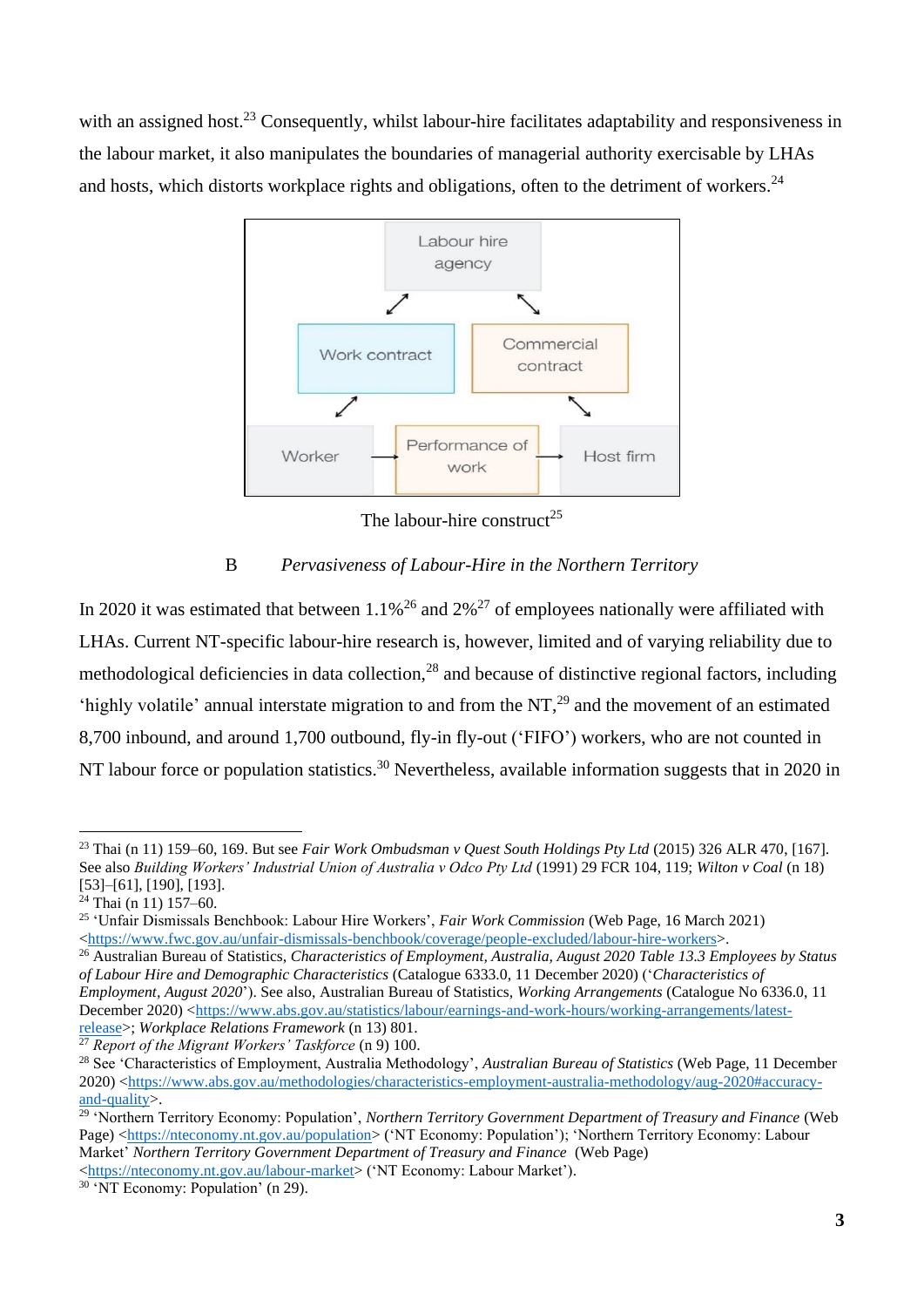with an assigned host.<sup>23</sup> Consequently, whilst labour-hire facilitates adaptability and responsiveness in the labour market, it also manipulates the boundaries of managerial authority exercisable by LHAs and hosts, which distorts workplace rights and obligations, often to the detriment of workers.<sup>24</sup>



The labour-hire construct<sup>25</sup>

# B *Pervasiveness of Labour-Hire in the Northern Territory*

In 2020 it was estimated that between  $1.1\%^{26}$  and  $2\%^{27}$  of employees nationally were affiliated with LHAs. Current NT-specific labour-hire research is, however, limited and of varying reliability due to methodological deficiencies in data collection,<sup>28</sup> and because of distinctive regional factors, including 'highly volatile' annual interstate migration to and from the NT,<sup>29</sup> and the movement of an estimated 8,700 inbound, and around 1,700 outbound, fly-in fly-out ('FIFO') workers, who are not counted in NT labour force or population statistics.<sup>30</sup> Nevertheless, available information suggests that in 2020 in

[<https://nteconomy.nt.gov.au/labour-market>](https://nteconomy.nt.gov.au/labour-market) ('NT Economy: Labour Market').

<sup>23</sup> Thai (n 11) 159–60, 169. But see *Fair Work Ombudsman v Quest South Holdings Pty Ltd* (2015) 326 ALR 470, [167]. See also *Building Workers' Industrial Union of Australia v Odco Pty Ltd* (1991) 29 FCR 104, 119; *Wilton v Coal* (n 18) [53]–[61], [190], [193].

 $24$  Thai (n 11) 157–60.

<sup>25</sup> 'Unfair Dismissals Benchbook: Labour Hire Workers', *Fair Work Commission* (Web Page, 16 March 2021) [<https://www.fwc.gov.au/unfair-dismissals-benchbook/coverage/people-excluded/labour-hire-workers>](https://www.fwc.gov.au/unfair-dismissals-benchbook/coverage/people-excluded/labour-hire-workers).

<sup>26</sup> Australian Bureau of Statistics, *Characteristics of Employment, Australia, August 2020 Table 13.3 Employees by Status of Labour Hire and Demographic Characteristics* (Catalogue 6333.0, 11 December 2020) ('*Characteristics of Employment, August 2020*'). See also, Australian Bureau of Statistics, *Working Arrangements* (Catalogue No 6336.0, 11 December 2020) [<https://www.abs.gov.au/statistics/labour/earnings-and-work-hours/working-arrangements/latest](https://www.abs.gov.au/statistics/labour/earnings-and-work-hours/working-arrangements/latest-release)[release>](https://www.abs.gov.au/statistics/labour/earnings-and-work-hours/working-arrangements/latest-release); *Workplace Relations Framework* (n 13) 801.

<sup>27</sup> *Report of the Migrant Workers' Taskforce* (n 9) 100.

<sup>28</sup> See 'Characteristics of Employment, Australia Methodology', *Australian Bureau of Statistics* (Web Page, 11 December 2020) [<https://www.abs.gov.au/methodologies/characteristics-employment-australia-methodology/aug-2020#accuracy](https://www.abs.gov.au/methodologies/characteristics-employment-australia-methodology/aug-2020#accuracy-and-quality)[and-quality>](https://www.abs.gov.au/methodologies/characteristics-employment-australia-methodology/aug-2020#accuracy-and-quality).

<sup>29</sup> 'Northern Territory Economy: Population', *Northern Territory Government Department of Treasury and Finance* (Web Page) [<https://nteconomy.nt.gov.au/population>](https://nteconomy.nt.gov.au/population) ('NT Economy: Population'); 'Northern Territory Economy: Labour Market' *Northern Territory Government Department of Treasury and Finance* (Web Page)

<sup>&</sup>lt;sup>30</sup> 'NT Economy: Population' (n 29).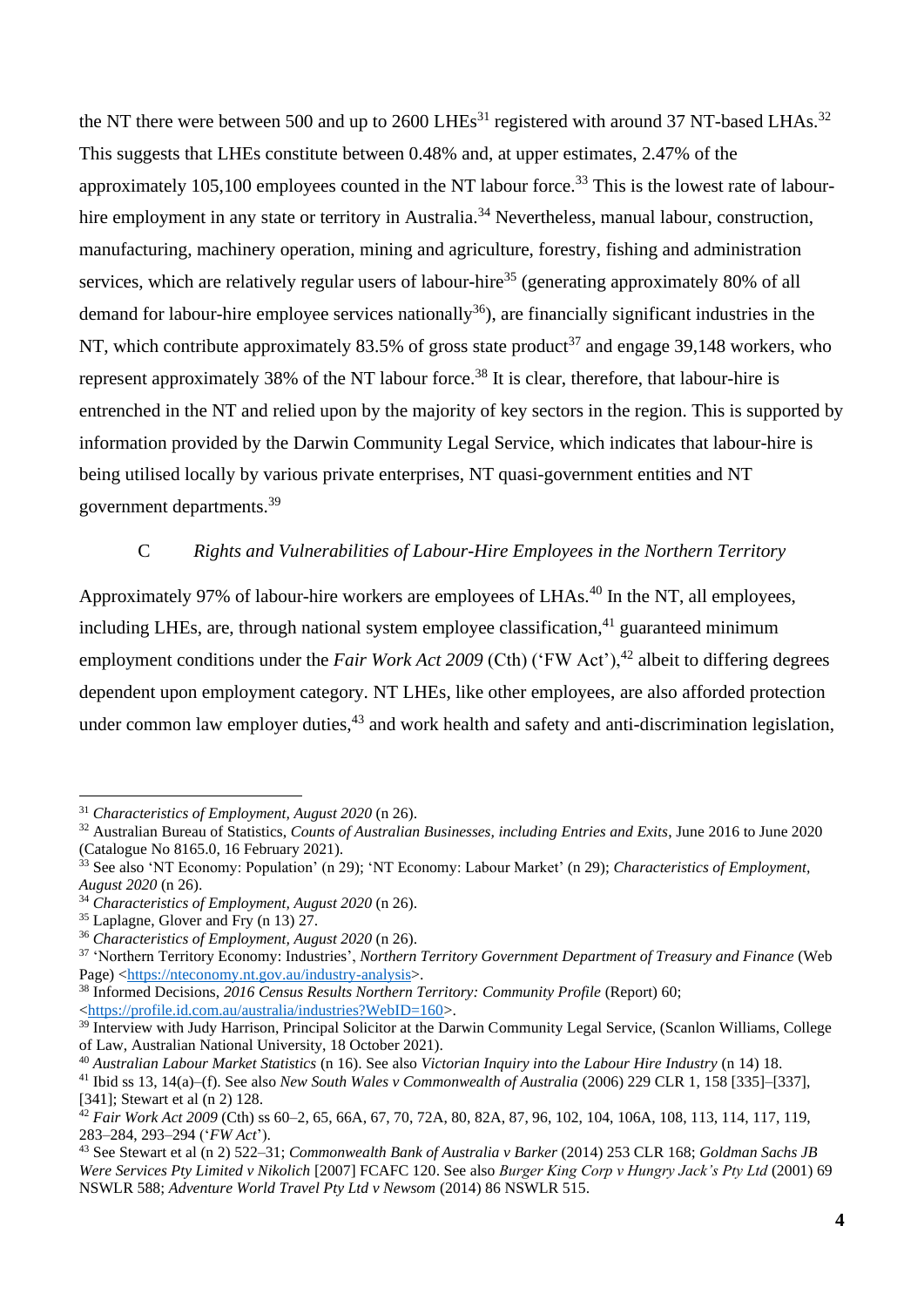the NT there were between 500 and up to 2600 LHEs<sup>31</sup> registered with around 37 NT-based LHAs.<sup>32</sup> This suggests that LHEs constitute between 0.48% and, at upper estimates, 2.47% of the approximately 105,100 employees counted in the NT labour force.<sup>33</sup> This is the lowest rate of labourhire employment in any state or territory in Australia.<sup>34</sup> Nevertheless, manual labour, construction, manufacturing, machinery operation, mining and agriculture, forestry, fishing and administration services, which are relatively regular users of labour-hire<sup>35</sup> (generating approximately 80% of all demand for labour-hire employee services nationally<sup>36</sup>), are financially significant industries in the NT, which contribute approximately 83.5% of gross state product<sup>37</sup> and engage 39,148 workers, who represent approximately 38% of the NT labour force.<sup>38</sup> It is clear, therefore, that labour-hire is entrenched in the NT and relied upon by the majority of key sectors in the region. This is supported by information provided by the Darwin Community Legal Service, which indicates that labour-hire is being utilised locally by various private enterprises, NT quasi-government entities and NT government departments.<sup>39</sup>

### C *Rights and Vulnerabilities of Labour-Hire Employees in the Northern Territory*

Approximately 97% of labour-hire workers are employees of LHAs.<sup>40</sup> In the NT, all employees, including LHEs, are, through national system employee classification,  $41$  guaranteed minimum employment conditions under the *Fair Work Act 2009* (Cth) ('FW Act'),<sup>42</sup> albeit to differing degrees dependent upon employment category. NT LHEs, like other employees, are also afforded protection under common law employer duties,  $43$  and work health and safety and anti-discrimination legislation,

<sup>31</sup> *Characteristics of Employment, August 2020* (n 26).

<sup>32</sup> Australian Bureau of Statistics, *Counts of Australian Businesses, including Entries and Exits*, June 2016 to June 2020 (Catalogue No 8165.0, 16 February 2021).

<sup>33</sup> See also 'NT Economy: Population' (n 29); 'NT Economy: Labour Market' (n 29); *Characteristics of Employment, August 2020* (n 26).

<sup>34</sup> *Characteristics of Employment, August 2020* (n 26).

<sup>35</sup> Laplagne, Glover and Fry (n 13) 27.

<sup>36</sup> *Characteristics of Employment, August 2020* (n 26).

<sup>37</sup> 'Northern Territory Economy: Industries', *Northern Territory Government Department of Treasury and Finance* (Web Page) [<https://nteconomy.nt.gov.au/industry-analysis>](https://nteconomy.nt.gov.au/industry-analysis).

<sup>&</sup>lt;sup>38</sup> Informed Decisions, *2016 Census Results Northern Territory: Community Profile* (Report) 60; [<https://profile.id.com.au/australia/industries?WebID=160>](https://profile.id.com.au/australia/industries?WebID=160).

<sup>&</sup>lt;sup>39</sup> Interview with Judy Harrison, Principal Solicitor at the Darwin Community Legal Service, (Scanlon Williams, College of Law, Australian National University, 18 October 2021).

<sup>40</sup> *Australian Labour Market Statistics* (n 16). See also *Victorian Inquiry into the Labour Hire Industry* (n 14) 18.

<sup>41</sup> Ibid ss 13, 14(a)–(f). See also *New South Wales v Commonwealth of Australia* (2006) 229 CLR 1, 158 [335]–[337], [341]: Stewart et al (n 2) 128.

<sup>42</sup> *Fair Work Act 2009* (Cth) ss 60–2, 65, 66A, 67, 70, 72A, 80, 82A, 87, 96, 102, 104, 106A, 108, 113, 114, 117, 119, 283–284, 293–294 ('*FW Act*').

<sup>43</sup> See Stewart et al (n 2) 522–31; *Commonwealth Bank of Australia v Barker* (2014) 253 CLR 168; *Goldman Sachs JB Were Services Pty Limited v Nikolich* [2007] FCAFC 120. See also *Burger King Corp v Hungry Jack's Pty Ltd* (2001) 69 NSWLR 588; *Adventure World Travel Pty Ltd v Newsom* (2014) 86 NSWLR 515.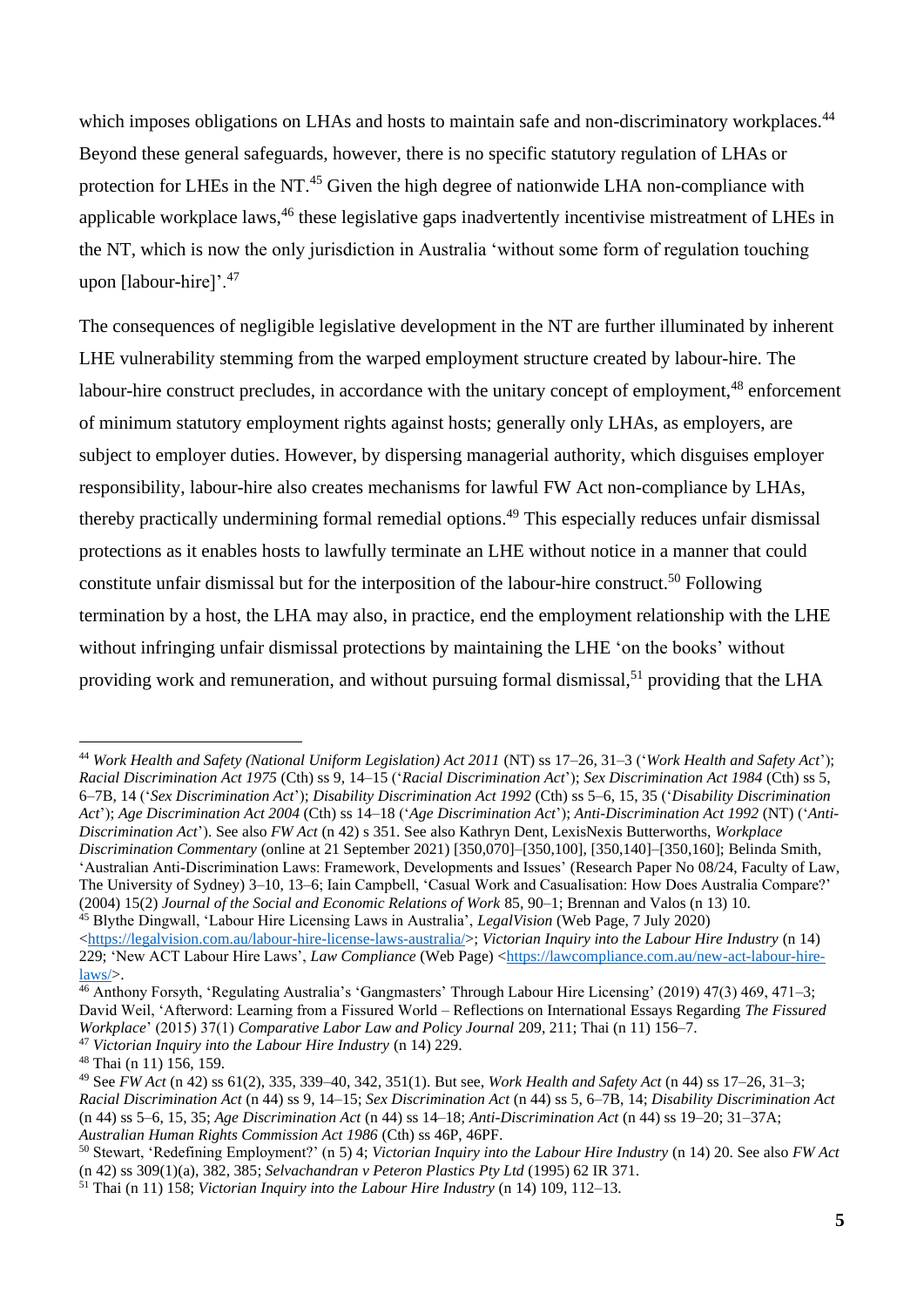which imposes obligations on LHAs and hosts to maintain safe and non-discriminatory workplaces.<sup>44</sup> Beyond these general safeguards, however, there is no specific statutory regulation of LHAs or protection for LHEs in the NT.<sup>45</sup> Given the high degree of nationwide LHA non-compliance with applicable workplace laws,<sup>46</sup> these legislative gaps inadvertently incentivise mistreatment of LHEs in the NT, which is now the only jurisdiction in Australia 'without some form of regulation touching upon [labour-hire]'.<sup>47</sup>

The consequences of negligible legislative development in the NT are further illuminated by inherent LHE vulnerability stemming from the warped employment structure created by labour-hire. The labour-hire construct precludes, in accordance with the unitary concept of employment,<sup>48</sup> enforcement of minimum statutory employment rights against hosts; generally only LHAs, as employers, are subject to employer duties. However, by dispersing managerial authority, which disguises employer responsibility, labour-hire also creates mechanisms for lawful FW Act non-compliance by LHAs, thereby practically undermining formal remedial options. <sup>49</sup> This especially reduces unfair dismissal protections as it enables hosts to lawfully terminate an LHE without notice in a manner that could constitute unfair dismissal but for the interposition of the labour-hire construct. <sup>50</sup> Following termination by a host, the LHA may also, in practice, end the employment relationship with the LHE without infringing unfair dismissal protections by maintaining the LHE 'on the books' without providing work and remuneration, and without pursuing formal dismissal,<sup>51</sup> providing that the LHA

<sup>44</sup> *Work Health and Safety (National Uniform Legislation) Act 2011* (NT) ss 17–26, 31–3 ('*Work Health and Safety Act*'); *Racial Discrimination Act 1975* (Cth) ss 9, 14–15 ('*Racial Discrimination Act*'); *Sex Discrimination Act 1984* (Cth) ss 5, 6–7B, 14 ('*Sex Discrimination Act*'); *Disability Discrimination Act 1992* (Cth) ss 5–6, 15, 35 ('*Disability Discrimination Act*'); *Age Discrimination Act 2004* (Cth) ss 14–18 ('*Age Discrimination Act*'); *Anti-Discrimination Act 1992* (NT) ('*Anti-Discrimination Act*'). See also *FW Act* (n 42) s 351. See also Kathryn Dent, LexisNexis Butterworths, *Workplace Discrimination Commentary* (online at 21 September 2021) [350,070]–[350,100], [350,140]–[350,160]; Belinda Smith, 'Australian Anti-Discrimination Laws: Framework, Developments and Issues' (Research Paper No 08/24, Faculty of Law, The University of Sydney) 3–10, 13–6; Iain Campbell, 'Casual Work and Casualisation: How Does Australia Compare?' (2004) 15(2) *Journal of the Social and Economic Relations of Work* 85, 90–1; Brennan and Valos (n 13) 10. <sup>45</sup> Blythe Dingwall, 'Labour Hire Licensing Laws in Australia', *LegalVision* (Web Page, 7 July 2020)

[<sup>&</sup>lt;https://legalvision.com.au/labour-hire-license-laws-australia/>](https://legalvision.com.au/labour-hire-license-laws-australia/); *Victorian Inquiry into the Labour Hire Industry* (n 14) 229; 'New ACT Labour Hire Laws', *Law Compliance* (Web Page) [<https://lawcompliance.com.au/new-act-labour-hire](https://lawcompliance.com.au/new-act-labour-hire-laws/)[laws/>](https://lawcompliance.com.au/new-act-labour-hire-laws/).

<sup>&</sup>lt;sup>46</sup> Anthony Forsyth, 'Regulating Australia's 'Gangmasters' Through Labour Hire Licensing' (2019) 47(3) 469, 471–3; David Weil, 'Afterword: Learning from a Fissured World – Reflections on International Essays Regarding *The Fissured Workplace*' (2015) 37(1) *Comparative Labor Law and Policy Journal* 209, 211; Thai (n 11) 156–7. <sup>47</sup> *Victorian Inquiry into the Labour Hire Industry* (n 14) 229.

<sup>48</sup> Thai (n 11) 156, 159.

<sup>49</sup> See *FW Act* (n 42) ss 61(2), 335, 339–40, 342, 351(1). But see, *Work Health and Safety Act* (n 44) ss 17–26, 31–3; *Racial Discrimination Act* (n 44) ss 9, 14–15; *Sex Discrimination Act* (n 44) ss 5, 6–7B, 14; *Disability Discrimination Act* (n 44) ss 5–6, 15, 35; *Age Discrimination Act* (n 44) ss 14–18; *Anti-Discrimination Act* (n 44) ss 19–20; 31–37A; *Australian Human Rights Commission Act 1986* (Cth) ss 46P, 46PF.

<sup>50</sup> Stewart, 'Redefining Employment?' (n 5) 4; *Victorian Inquiry into the Labour Hire Industry* (n 14) 20. See also *FW Act*  (n 42) ss 309(1)(a), 382, 385; *Selvachandran v Peteron Plastics Pty Ltd* (1995) 62 IR 371.

<sup>51</sup> Thai (n 11) 158; *Victorian Inquiry into the Labour Hire Industry* (n 14) 109, 112–13.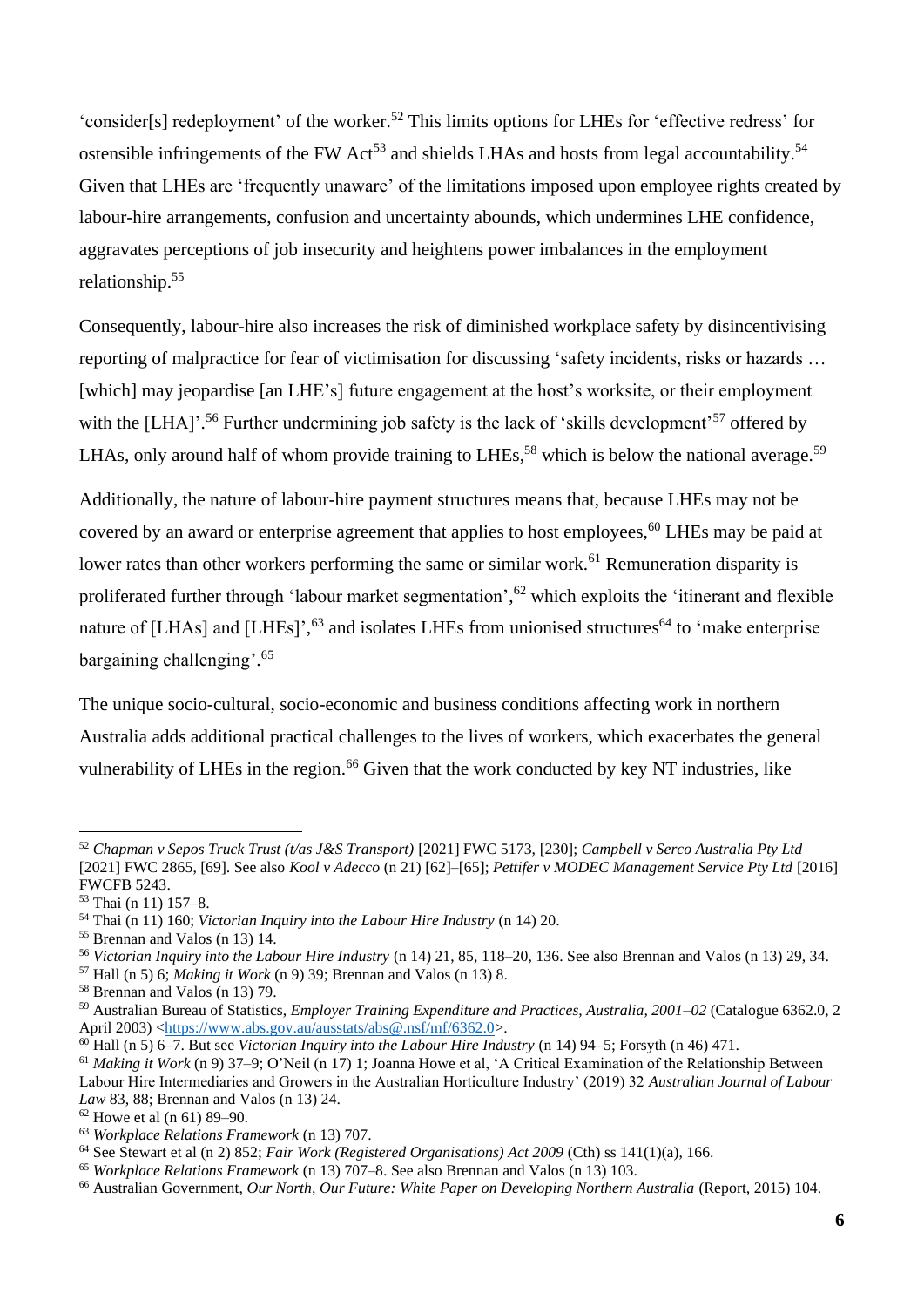'consider[s] redeployment' of the worker.<sup>52</sup> This limits options for LHEs for 'effective redress' for ostensible infringements of the FW Act<sup>53</sup> and shields LHAs and hosts from legal accountability.<sup>54</sup> Given that LHEs are 'frequently unaware' of the limitations imposed upon employee rights created by labour-hire arrangements, confusion and uncertainty abounds, which undermines LHE confidence, aggravates perceptions of job insecurity and heightens power imbalances in the employment relationship. 55

Consequently, labour-hire also increases the risk of diminished workplace safety by disincentivising reporting of malpractice for fear of victimisation for discussing 'safety incidents, risks or hazards … [which] may jeopardise [an LHE's] future engagement at the host's worksite, or their employment with the [LHA]'.<sup>56</sup> Further undermining job safety is the lack of 'skills development'<sup>57</sup> offered by LHAs, only around half of whom provide training to LHEs,<sup>58</sup> which is below the national average.<sup>59</sup>

Additionally, the nature of labour-hire payment structures means that, because LHEs may not be covered by an award or enterprise agreement that applies to host employees,<sup>60</sup> LHEs may be paid at lower rates than other workers performing the same or similar work.<sup>61</sup> Remuneration disparity is proliferated further through 'labour market segmentation',<sup>62</sup> which exploits the 'itinerant and flexible nature of [LHAs] and [LHEs]',<sup>63</sup> and isolates LHEs from unionised structures<sup>64</sup> to 'make enterprise bargaining challenging'. 65

The unique socio-cultural, socio-economic and business conditions affecting work in northern Australia adds additional practical challenges to the lives of workers, which exacerbates the general vulnerability of LHEs in the region.<sup>66</sup> Given that the work conducted by key NT industries, like

<sup>57</sup> Hall (n 5) 6; *Making it Work* (n 9) 39; Brennan and Valos (n 13) 8.

<sup>58</sup> Brennan and Valos (n 13) 79.

<sup>52</sup> *Chapman v Sepos Truck Trust (t/as J&S Transport)* [2021] FWC 5173, [230]; *Campbell v Serco Australia Pty Ltd*  [2021] FWC 2865, [69]. See also *Kool v Adecco* (n 21) [62]–[65]; *Pettifer v MODEC Management Service Pty Ltd* [2016] FWCFB 5243.

<sup>53</sup> Thai (n 11) 157–8.

<sup>54</sup> Thai (n 11) 160; *Victorian Inquiry into the Labour Hire Industry* (n 14) 20.

<sup>55</sup> Brennan and Valos (n 13) 14.

<sup>56</sup> *Victorian Inquiry into the Labour Hire Industry* (n 14) 21, 85, 118–20, 136. See also Brennan and Valos (n 13) 29, 34.

<sup>59</sup> Australian Bureau of Statistics, *Employer Training Expenditure and Practices, Australia, 2001–02* (Catalogue 6362.0, 2 April 2003) [<https://www.abs.gov.au/ausstats/abs@.nsf/mf/6362.0>](https://www.abs.gov.au/ausstats/abs@.nsf/mf/6362.0).

<sup>60</sup> Hall (n 5) 6–7. But see *Victorian Inquiry into the Labour Hire Industry* (n 14) 94–5; Forsyth (n 46) 471.

<sup>61</sup> *Making it Work* (n 9) 37–9; O'Neil (n 17) 1; Joanna Howe et al, 'A Critical Examination of the Relationship Between Labour Hire Intermediaries and Growers in the Australian Horticulture Industry' (2019) 32 *Australian Journal of Labour Law* 83, 88; Brennan and Valos (n 13) 24.

 $62$  Howe et al (n 61) 89–90.

<sup>63</sup> *Workplace Relations Framework* (n 13) 707.

<sup>64</sup> See Stewart et al (n 2) 852; *Fair Work (Registered Organisations) Act 2009* (Cth) ss 141(1)(a), 166.

<sup>65</sup> *Workplace Relations Framework* (n 13) 707–8. See also Brennan and Valos (n 13) 103.

<sup>&</sup>lt;sup>66</sup> Australian Government, *Our North, Our Future: White Paper on Developing Northern Australia (Report, 2015) 104.*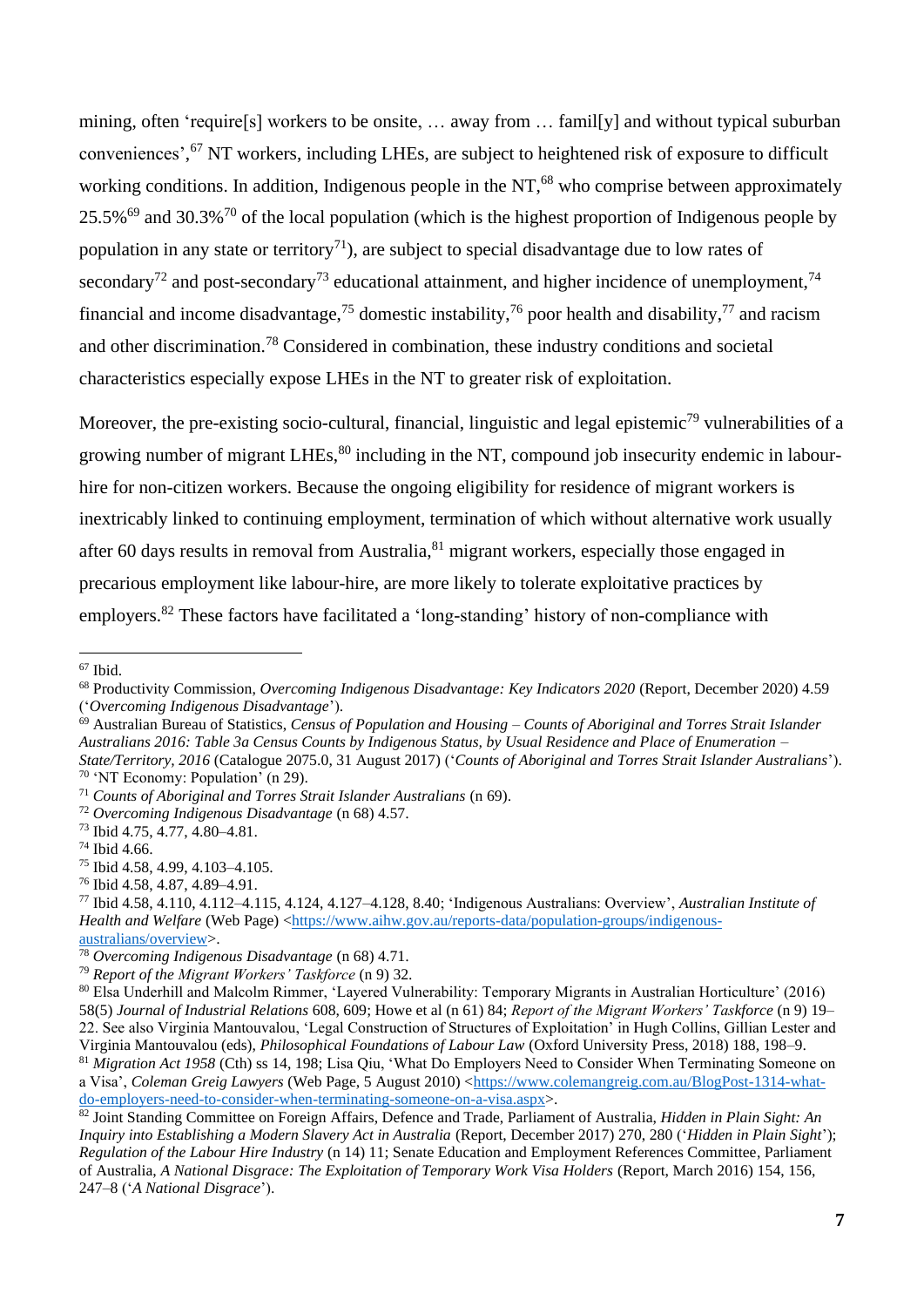mining, often 'require[s] workers to be onsite, … away from … famil[y] and without typical suburban conveniences', <sup>67</sup> NT workers, including LHEs, are subject to heightened risk of exposure to difficult working conditions. In addition, Indigenous people in the  $NT<sub>1</sub><sup>68</sup>$  who comprise between approximately 25.5% $^{69}$  and 30.3% $^{70}$  of the local population (which is the highest proportion of Indigenous people by population in any state or territory<sup>71</sup>), are subject to special disadvantage due to low rates of secondary<sup>72</sup> and post-secondary<sup>73</sup> educational attainment, and higher incidence of unemployment,<sup>74</sup> financial and income disadvantage,<sup>75</sup> domestic instability,<sup>76</sup> poor health and disability,<sup>77</sup> and racism and other discrimination.<sup>78</sup> Considered in combination, these industry conditions and societal characteristics especially expose LHEs in the NT to greater risk of exploitation.

Moreover, the pre-existing socio-cultural, financial, linguistic and legal epistemic<sup>79</sup> vulnerabilities of a growing number of migrant LHEs,  $80$  including in the NT, compound job insecurity endemic in labourhire for non-citizen workers. Because the ongoing eligibility for residence of migrant workers is inextricably linked to continuing employment, termination of which without alternative work usually after 60 days results in removal from Australia, <sup>81</sup> migrant workers, especially those engaged in precarious employment like labour-hire, are more likely to tolerate exploitative practices by employers.<sup>82</sup> These factors have facilitated a 'long-standing' history of non-compliance with

<sup>67</sup> Ibid.

<sup>68</sup> Productivity Commission, *Overcoming Indigenous Disadvantage: Key Indicators 2020* (Report, December 2020) 4.59 ('*Overcoming Indigenous Disadvantage*').

<sup>69</sup> Australian Bureau of Statistics, *Census of Population and Housing – Counts of Aboriginal and Torres Strait Islander Australians 2016: Table 3a Census Counts by Indigenous Status, by Usual Residence and Place of Enumeration – State/Territory, 2016* (Catalogue 2075.0, 31 August 2017) ('*Counts of Aboriginal and Torres Strait Islander Australians*').

<sup>70</sup> 'NT Economy: Population' (n 29).

<sup>71</sup> *Counts of Aboriginal and Torres Strait Islander Australians* (n 69).

<sup>72</sup> *Overcoming Indigenous Disadvantage* (n 68) 4.57.

<sup>73</sup> Ibid 4.75, 4.77, 4.80–4.81.

<sup>74</sup> Ibid 4.66.

<sup>75</sup> Ibid 4.58, 4.99, 4.103–4.105.

<sup>76</sup> Ibid 4.58, 4.87, 4.89–4.91.

<sup>77</sup> Ibid 4.58, 4.110, 4.112–4.115, 4.124, 4.127–4.128, 8.40; 'Indigenous Australians: Overview', *Australian Institute of Health and Welfare* (Web Page) [<https://www.aihw.gov.au/reports-data/population-groups/indigenous](https://www.aihw.gov.au/reports-data/population-groups/indigenous-australians/overview)[australians/overview>](https://www.aihw.gov.au/reports-data/population-groups/indigenous-australians/overview).

<sup>78</sup> *Overcoming Indigenous Disadvantage* (n 68) 4.71.

<sup>79</sup> *Report of the Migrant Workers' Taskforce* (n 9) 32.

<sup>80</sup> Elsa Underhill and Malcolm Rimmer, 'Layered Vulnerability: Temporary Migrants in Australian Horticulture' (2016) 58(5) *Journal of Industrial Relations* 608, 609; Howe et al (n 61) 84; *Report of the Migrant Workers' Taskforce* (n 9) 19– 22. See also Virginia Mantouvalou, 'Legal Construction of Structures of Exploitation' in Hugh Collins, Gillian Lester and Virginia Mantouvalou (eds), *Philosophical Foundations of Labour Law* (Oxford University Press, 2018) 188, 198–9. <sup>81</sup> *Migration Act 1958* (Cth) ss 14, 198; Lisa Qiu, 'What Do Employers Need to Consider When Terminating Someone on

a Visa', *Coleman Greig Lawyers* (Web Page, 5 August 2010) [<https://www.colemangreig.com.au/BlogPost-1314-what](https://www.colemangreig.com.au/BlogPost-1314-what-do-employers-need-to-consider-when-terminating-someone-on-a-visa.aspx)[do-employers-need-to-consider-when-terminating-someone-on-a-visa.aspx>](https://www.colemangreig.com.au/BlogPost-1314-what-do-employers-need-to-consider-when-terminating-someone-on-a-visa.aspx).

<sup>82</sup> Joint Standing Committee on Foreign Affairs, Defence and Trade, Parliament of Australia, *Hidden in Plain Sight: An Inquiry into Establishing a Modern Slavery Act in Australia* (Report, December 2017) 270, 280 ('*Hidden in Plain Sight*'); *Regulation of the Labour Hire Industry* (n 14) 11; Senate Education and Employment References Committee, Parliament of Australia, *A National Disgrace: The Exploitation of Temporary Work Visa Holders* (Report, March 2016) 154, 156, 247–8 ('*A National Disgrace*').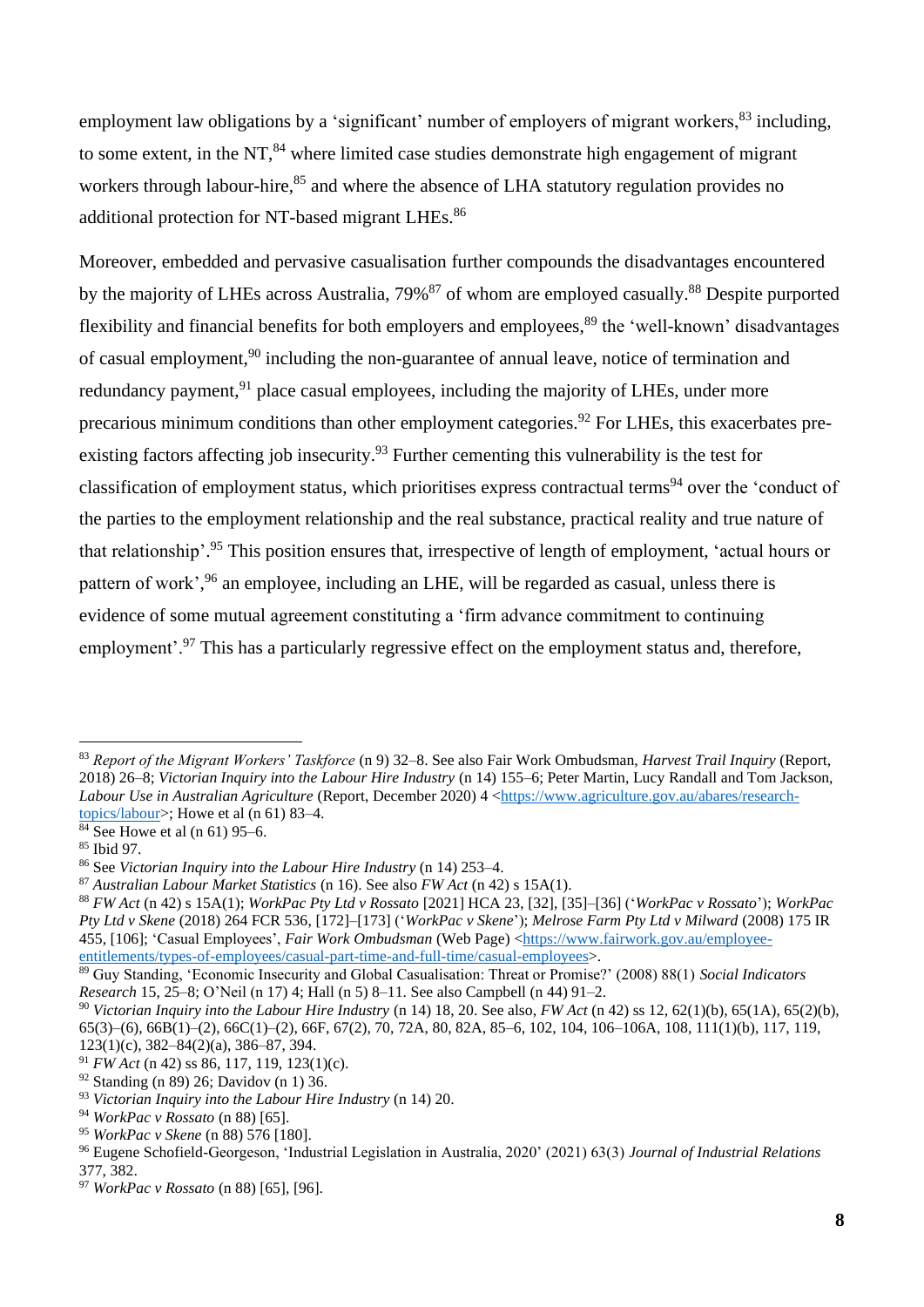employment law obligations by a 'significant' number of employers of migrant workers, <sup>83</sup> including, to some extent, in the NT, $^{84}$  where limited case studies demonstrate high engagement of migrant workers through labour-hire,<sup>85</sup> and where the absence of LHA statutory regulation provides no additional protection for NT-based migrant LHEs.<sup>86</sup>

Moreover, embedded and pervasive casualisation further compounds the disadvantages encountered by the majority of LHEs across Australia, 79%<sup>87</sup> of whom are employed casually.<sup>88</sup> Despite purported flexibility and financial benefits for both employers and employees,<sup>89</sup> the 'well-known' disadvantages of casual employment,<sup>90</sup> including the non-guarantee of annual leave, notice of termination and redundancy payment,<sup>91</sup> place casual employees, including the majority of LHEs, under more precarious minimum conditions than other employment categories.<sup>92</sup> For LHEs, this exacerbates preexisting factors affecting job insecurity.<sup>93</sup> Further cementing this vulnerability is the test for classification of employment status, which prioritises express contractual terms<sup>94</sup> over the 'conduct of the parties to the employment relationship and the real substance, practical reality and true nature of that relationship'.<sup>95</sup> This position ensures that, irrespective of length of employment, 'actual hours or pattern of work',<sup>96</sup> an employee, including an LHE, will be regarded as casual, unless there is evidence of some mutual agreement constituting a 'firm advance commitment to continuing employment'.<sup>97</sup> This has a particularly regressive effect on the employment status and, therefore,

<sup>83</sup> *Report of the Migrant Workers' Taskforce* (n 9) 32–8. See also Fair Work Ombudsman, *Harvest Trail Inquiry* (Report, 2018) 26–8; *Victorian Inquiry into the Labour Hire Industry* (n 14) 155–6; Peter Martin, Lucy Randall and Tom Jackson, *Labour Use in Australian Agriculture* (Report, December 2020) 4 [<https://www.agriculture.gov.au/abares/research](https://www.agriculture.gov.au/abares/research-topics/labour)[topics/labour>](https://www.agriculture.gov.au/abares/research-topics/labour); Howe et al (n 61) 83–4.

 $84$  See Howe et al (n 61) 95–6.

<sup>85</sup> Ibid 97.

<sup>86</sup> See *Victorian Inquiry into the Labour Hire Industry* (n 14) 253–4.

<sup>87</sup> *Australian Labour Market Statistics* (n 16). See also *FW Act* (n 42) s 15A(1).

<sup>88</sup> *FW Act* (n 42) s 15A(1); *WorkPac Pty Ltd v Rossato* [2021] HCA 23, [32], [35]–[36] ('*WorkPac v Rossato*'); *WorkPac Pty Ltd v Skene* (2018) 264 FCR 536, [172]–[173] ('*WorkPac v Skene*'); *Melrose Farm Pty Ltd v Milward* (2008) 175 IR 455, [106]; 'Casual Employees', *Fair Work Ombudsman* (Web Page) [<https://www.fairwork.gov.au/employee](https://www.fairwork.gov.au/employee-entitlements/types-of-employees/casual-part-time-and-full-time/casual-employees)[entitlements/types-of-employees/casual-part-time-and-full-time/casual-employees>](https://www.fairwork.gov.au/employee-entitlements/types-of-employees/casual-part-time-and-full-time/casual-employees).

<sup>89</sup> Guy Standing, 'Economic Insecurity and Global Casualisation: Threat or Promise?' (2008) 88(1) *Social Indicators Research* 15, 25–8; O'Neil (n 17) 4; Hall (n 5) 8–11. See also Campbell (n 44) 91–2.

<sup>90</sup> *Victorian Inquiry into the Labour Hire Industry* (n 14) 18, 20. See also, *FW Act* (n 42) ss 12, 62(1)(b), 65(1A), 65(2)(b), 65(3)–(6), 66B(1)–(2), 66C(1)–(2), 66F, 67(2), 70, 72A, 80, 82A, 85–6, 102, 104, 106–106A, 108, 111(1)(b), 117, 119, 123(1)(c), 382–84(2)(a), 386–87, 394.

<sup>91</sup> *FW Act* (n 42) ss 86, 117, 119, 123(1)(c).

<sup>92</sup> Standing (n 89) 26; Davidov (n 1) 36.

<sup>93</sup> *Victorian Inquiry into the Labour Hire Industry* (n 14) 20.

<sup>94</sup> *WorkPac v Rossato* (n 88) [65].

<sup>95</sup> *WorkPac v Skene* (n 88) 576 [180].

<sup>96</sup> Eugene Schofield-Georgeson, 'Industrial Legislation in Australia, 2020' (2021) 63(3) *Journal of Industrial Relations*  377, 382.

<sup>97</sup> *WorkPac v Rossato* (n 88) [65], [96].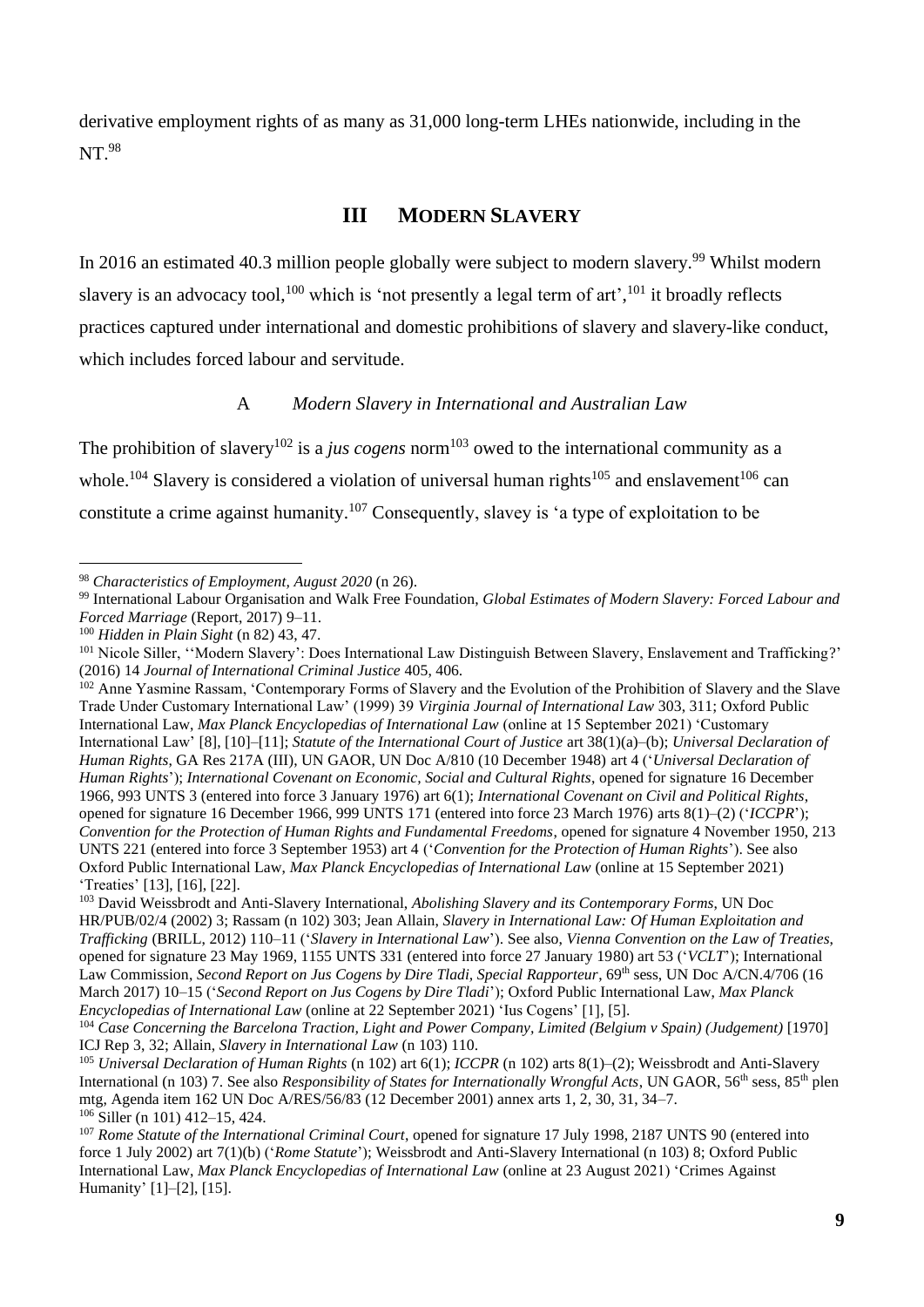derivative employment rights of as many as 31,000 long-term LHEs nationwide, including in the NT. 98

# **III MODERN SLAVERY**

In 2016 an estimated 40.3 million people globally were subject to modern slavery.<sup>99</sup> Whilst modern slavery is an advocacy tool,  $100$  which is 'not presently a legal term of art',  $101$  it broadly reflects practices captured under international and domestic prohibitions of slavery and slavery-like conduct, which includes forced labour and servitude.

#### A *Modern Slavery in International and Australian Law*

The prohibition of slavery<sup>102</sup> is a *jus cogens* norm<sup>103</sup> owed to the international community as a whole.<sup>104</sup> Slavery is considered a violation of universal human rights<sup>105</sup> and enslavement<sup>106</sup> can constitute a crime against humanity.<sup>107</sup> Consequently, slavey is 'a type of exploitation to be

<sup>100</sup> *Hidden in Plain Sight* (n 82) 43, 47.

<sup>98</sup> *Characteristics of Employment, August 2020* (n 26).

<sup>99</sup> International Labour Organisation and Walk Free Foundation, *Global Estimates of Modern Slavery: Forced Labour and Forced Marriage* (Report, 2017) 9–11.

<sup>101</sup> Nicole Siller, ''Modern Slavery': Does International Law Distinguish Between Slavery, Enslavement and Trafficking?' (2016) 14 *Journal of International Criminal Justice* 405, 406.

<sup>&</sup>lt;sup>102</sup> Anne Yasmine Rassam, 'Contemporary Forms of Slavery and the Evolution of the Prohibition of Slavery and the Slave Trade Under Customary International Law' (1999) 39 *Virginia Journal of International Law* 303, 311; Oxford Public International Law, *Max Planck Encyclopedias of International Law* (online at 15 September 2021) 'Customary International Law' [8], [10]–[11]; *Statute of the International Court of Justice* art 38(1)(a)–(b); *Universal Declaration of Human Rights*, GA Res 217A (III), UN GAOR, UN Doc A/810 (10 December 1948) art 4 ('*Universal Declaration of Human Rights*'); *International Covenant on Economic, Social and Cultural Rights*, opened for signature 16 December 1966, 993 UNTS 3 (entered into force 3 January 1976) art 6(1); *International Covenant on Civil and Political Rights*, opened for signature 16 December 1966, 999 UNTS 171 (entered into force 23 March 1976) arts 8(1)–(2) ('*ICCPR*'); *Convention for the Protection of Human Rights and Fundamental Freedoms*, opened for signature 4 November 1950, 213 UNTS 221 (entered into force 3 September 1953) art 4 ('*Convention for the Protection of Human Rights*'). See also Oxford Public International Law, *Max Planck Encyclopedias of International Law* (online at 15 September 2021) 'Treaties' [13], [16], [22].

<sup>103</sup> David Weissbrodt and Anti-Slavery International, *Abolishing Slavery and its Contemporary Forms*, UN Doc HR/PUB/02/4 (2002) 3; Rassam (n 102) 303; Jean Allain, *Slavery in International Law: Of Human Exploitation and Trafficking* (BRILL, 2012) 110–11 ('*Slavery in International Law*'). See also, *Vienna Convention on the Law of Treaties*, opened for signature 23 May 1969, 1155 UNTS 331 (entered into force 27 January 1980) art 53 ('*VCLT*'); International Law Commission, *Second Report on Jus Cogens by Dire Tladi, Special Rapporteur*, 69<sup>th</sup> sess, UN Doc A/CN.4/706 (16 March 2017) 10–15 ('*Second Report on Jus Cogens by Dire Tladi*'); Oxford Public International Law, *Max Planck Encyclopedias of International Law* (online at 22 September 2021) 'Ius Cogens' [1], [5].

<sup>104</sup> *Case Concerning the Barcelona Traction, Light and Power Company, Limited (Belgium v Spain) (Judgement)* [1970] ICJ Rep 3, 32; Allain, *Slavery in International Law* (n 103) 110.

<sup>105</sup> *Universal Declaration of Human Rights* (n 102) art 6(1); *ICCPR* (n 102) arts 8(1)–(2); Weissbrodt and Anti-Slavery International (n 103) 7. See also *Responsibility of States for Internationally Wrongful Acts*, UN GAOR, 56<sup>th</sup> sess, 85<sup>th</sup> plen mtg, Agenda item 162 UN Doc A/RES/56/83 (12 December 2001) annex arts 1, 2, 30, 31, 34–7. <sup>106</sup> Siller (n 101) 412–15, 424.

<sup>107</sup> *Rome Statute of the International Criminal Court*, opened for signature 17 July 1998, 2187 UNTS 90 (entered into force 1 July 2002) art 7(1)(b) ('*Rome Statute*'); Weissbrodt and Anti-Slavery International (n 103) 8; Oxford Public International Law, *Max Planck Encyclopedias of International Law* (online at 23 August 2021) 'Crimes Against Humanity' [1]–[2], [15].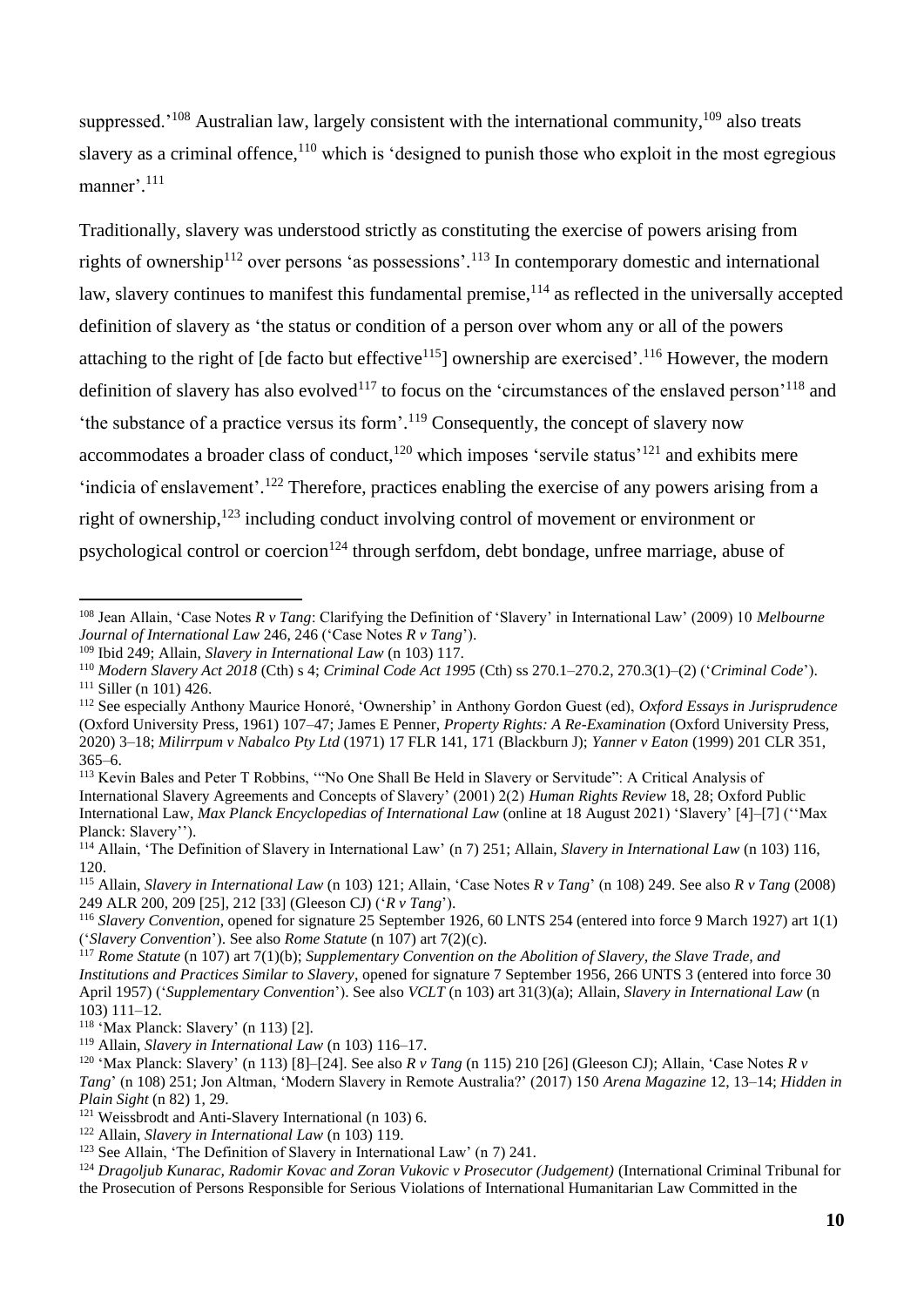suppressed.<sup>'108</sup> Australian law, largely consistent with the international community,  $109$  also treats slavery as a criminal offence,<sup>110</sup> which is 'designed to punish those who exploit in the most egregious manner'.<sup>111</sup>

Traditionally, slavery was understood strictly as constituting the exercise of powers arising from rights of ownership<sup>112</sup> over persons 'as possessions'.<sup>113</sup> In contemporary domestic and international law, slavery continues to manifest this fundamental premise,<sup>114</sup> as reflected in the universally accepted definition of slavery as 'the status or condition of a person over whom any or all of the powers attaching to the right of  $\lceil$  de facto but effective<sup>115</sup> $\rceil$  ownership are exercised'.<sup>116</sup> However, the modern definition of slavery has also evolved<sup>117</sup> to focus on the 'circumstances of the enslaved person'<sup>118</sup> and 'the substance of a practice versus its form'.<sup>119</sup> Consequently, the concept of slavery now accommodates a broader class of conduct,  $120$  which imposes 'servile status'  $121$  and exhibits mere 'indicia of enslavement'.<sup>122</sup> Therefore, practices enabling the exercise of any powers arising from a right of ownership, <sup>123</sup> including conduct involving control of movement or environment or psychological control or coercion<sup>124</sup> through serfdom, debt bondage, unfree marriage, abuse of

<sup>115</sup> Allain, *Slavery in International Law* (n 103) 121; Allain, 'Case Notes *R v Tang*' (n 108) 249. See also *R v Tang* (2008) 249 ALR 200, 209 [25], 212 [33] (Gleeson CJ) ('*R v Tang*').

<sup>108</sup> Jean Allain, 'Case Notes *R v Tang*: Clarifying the Definition of 'Slavery' in International Law' (2009) 10 *Melbourne Journal of International Law* 246, 246 ('Case Notes *R v Tang*').

<sup>109</sup> Ibid 249; Allain, *Slavery in International Law* (n 103) 117.

<sup>110</sup> *Modern Slavery Act 2018* (Cth) s 4; *Criminal Code Act 1995* (Cth) ss 270.1–270.2, 270.3(1)–(2) ('*Criminal Code*').  $111$  Siller (n 101) 426.

<sup>112</sup> See especially Anthony Maurice Honoré, 'Ownership' in Anthony Gordon Guest (ed), *Oxford Essays in Jurisprudence* (Oxford University Press, 1961) 107–47; James E Penner, *Property Rights: A Re-Examination* (Oxford University Press, 2020) 3–18; *Milirrpum v Nabalco Pty Ltd* (1971) 17 FLR 141, 171 (Blackburn J); *Yanner v Eaton* (1999) 201 CLR 351,  $365-6$ 

<sup>113</sup> Kevin Bales and Peter T Robbins, '"No One Shall Be Held in Slavery or Servitude": A Critical Analysis of International Slavery Agreements and Concepts of Slavery' (2001) 2(2) *Human Rights Review* 18, 28; Oxford Public International Law, *Max Planck Encyclopedias of International Law* (online at 18 August 2021) 'Slavery' [4]–[7] (''Max Planck: Slavery'').

<sup>114</sup> Allain, 'The Definition of Slavery in International Law' (n 7) 251; Allain, *Slavery in International Law* (n 103) 116, 120.

<sup>116</sup> *Slavery Convention*, opened for signature 25 September 1926, 60 LNTS 254 (entered into force 9 March 1927) art 1(1) ('*Slavery Convention*'). See also *Rome Statute* (n 107) art 7(2)(c).

<sup>117</sup> *Rome Statute* (n 107) art 7(1)(b); *Supplementary Convention on the Abolition of Slavery, the Slave Trade, and Institutions and Practices Similar to Slavery*, opened for signature 7 September 1956, 266 UNTS 3 (entered into force 30 April 1957) ('*Supplementary Convention*'). See also *VCLT* (n 103) art 31(3)(a); Allain, *Slavery in International Law* (n 103) 111–12.

<sup>118</sup> 'Max Planck: Slavery' (n 113) [2].

<sup>119</sup> Allain, *Slavery in International Law* (n 103) 116–17.

<sup>&</sup>lt;sup>120</sup> 'Max Planck: Slavery' (n 113) [8]–[24]. See also *R v Tang* (n 115) 210 [26] (Gleeson CJ); Allain, 'Case Notes *R v Tang*' (n 108) 251; Jon Altman, 'Modern Slavery in Remote Australia?' (2017) 150 *Arena Magazine* 12, 13–14; *Hidden in Plain Sight* (n 82) 1, 29.

 $121$  Weissbrodt and Anti-Slavery International (n 103) 6.

<sup>122</sup> Allain, *Slavery in International Law* (n 103) 119.

<sup>123</sup> See Allain, 'The Definition of Slavery in International Law' (n 7) 241.

<sup>124</sup> *Dragoljub Kunarac, Radomir Kovac and Zoran Vukovic v Prosecutor (Judgement)* (International Criminal Tribunal for the Prosecution of Persons Responsible for Serious Violations of International Humanitarian Law Committed in the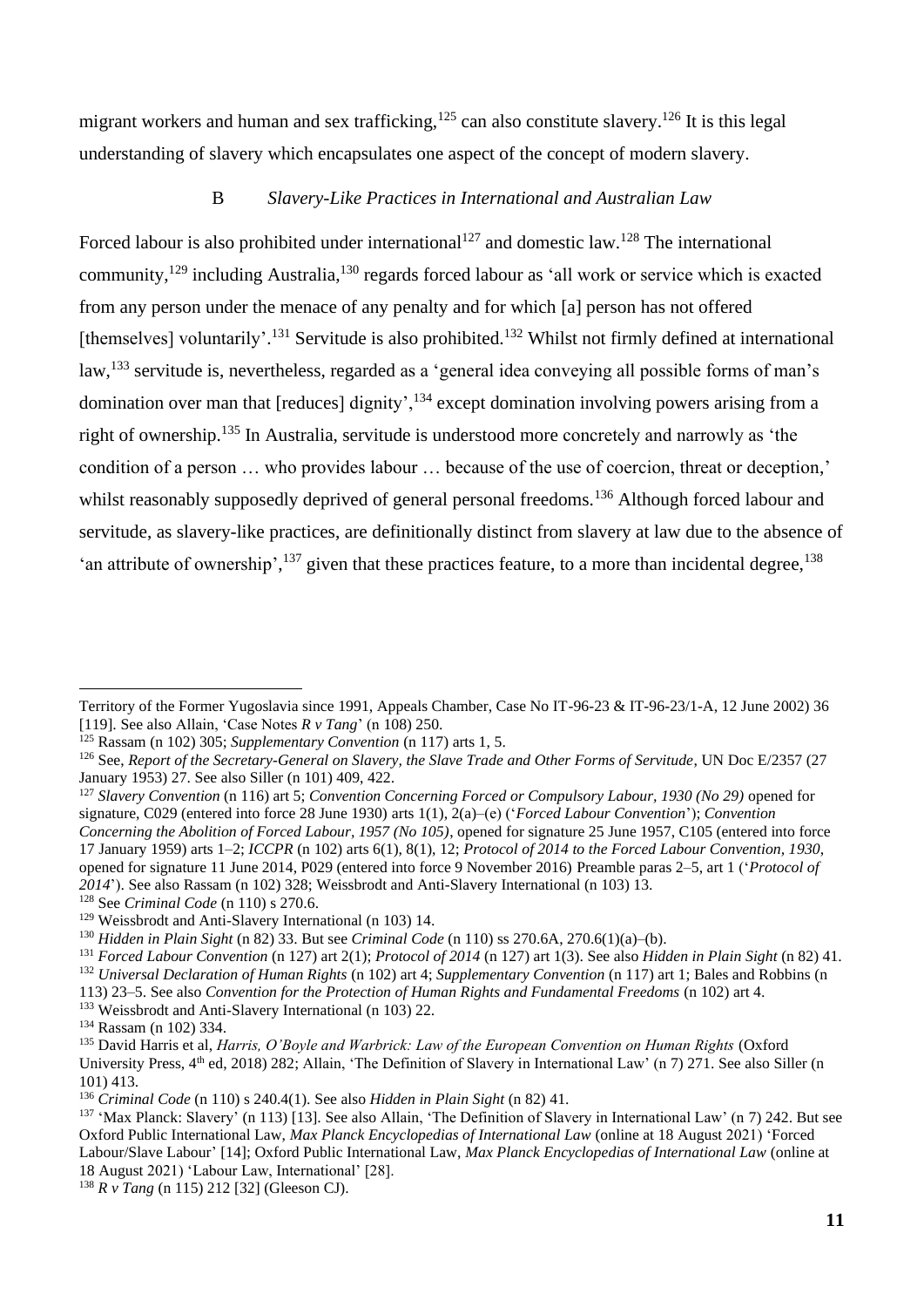migrant workers and human and sex trafficking,<sup>125</sup> can also constitute slavery.<sup>126</sup> It is this legal understanding of slavery which encapsulates one aspect of the concept of modern slavery.

### B *Slavery-Like Practices in International and Australian Law*

Forced labour is also prohibited under international<sup>127</sup> and domestic law.<sup>128</sup> The international community,<sup>129</sup> including Australia,<sup>130</sup> regards forced labour as 'all work or service which is exacted from any person under the menace of any penalty and for which [a] person has not offered [themselves] voluntarily'.<sup>131</sup> Servitude is also prohibited.<sup>132</sup> Whilst not firmly defined at international law,<sup>133</sup> servitude is, nevertheless, regarded as a 'general idea conveying all possible forms of man's domination over man that [reduces] dignity',<sup>134</sup> except domination involving powers arising from a right of ownership.<sup>135</sup> In Australia, servitude is understood more concretely and narrowly as 'the condition of a person … who provides labour … because of the use of coercion, threat or deception,' whilst reasonably supposedly deprived of general personal freedoms.<sup>136</sup> Although forced labour and servitude, as slavery-like practices, are definitionally distinct from slavery at law due to the absence of 'an attribute of ownership', $^{137}$  given that these practices feature, to a more than incidental degree,  $^{138}$ 

<sup>127</sup> *Slavery Convention* (n 116) art 5; *Convention Concerning Forced or Compulsory Labour, 1930 (No 29)* opened for signature, C029 (entered into force 28 June 1930) arts 1(1), 2(a)–(e) ('*Forced Labour Convention*'); *Convention Concerning the Abolition of Forced Labour, 1957 (No 105)*, opened for signature 25 June 1957, C105 (entered into force 17 January 1959) arts 1–2; *ICCPR* (n 102) arts 6(1), 8(1), 12; *Protocol of 2014 to the Forced Labour Convention, 1930*, opened for signature 11 June 2014, P029 (entered into force 9 November 2016) Preamble paras 2–5, art 1 ('*Protocol of 2014*'). See also Rassam (n 102) 328; Weissbrodt and Anti-Slavery International (n 103) 13. <sup>128</sup> See *Criminal Code* (n 110) s 270.6.

<sup>132</sup> *Universal Declaration of Human Rights* (n 102) art 4; *Supplementary Convention* (n 117) art 1; Bales and Robbins (n

Territory of the Former Yugoslavia since 1991, Appeals Chamber, Case No IT-96-23 & IT-96-23/1-A, 12 June 2002) 36 [119]. See also Allain, 'Case Notes *R v Tang*' (n 108) 250.

<sup>125</sup> Rassam (n 102) 305; *Supplementary Convention* (n 117) arts 1, 5.

<sup>126</sup> See, *Report of the Secretary-General on Slavery, the Slave Trade and Other Forms of Servitude*, UN Doc E/2357 (27 January 1953) 27. See also Siller (n 101) 409, 422.

<sup>129</sup> Weissbrodt and Anti-Slavery International (n 103) 14.

<sup>130</sup> *Hidden in Plain Sight* (n 82) 33. But see *Criminal Code* (n 110) ss 270.6A, 270.6(1)(a)–(b).

<sup>131</sup> *Forced Labour Convention* (n 127) art 2(1); *Protocol of 2014* (n 127) art 1(3). See also *Hidden in Plain Sight* (n 82) 41.

<sup>113)</sup> 23–5. See also *Convention for the Protection of Human Rights and Fundamental Freedoms* (n 102) art 4.

<sup>&</sup>lt;sup>133</sup> Weissbrodt and Anti-Slavery International (n 103) 22.

<sup>134</sup> Rassam (n 102) 334.

<sup>&</sup>lt;sup>135</sup> David Harris et al, *Harris, O'Boyle and Warbrick: Law of the European Convention on Human Rights* (Oxford University Press,  $4<sup>th</sup>$  ed, 2018) 282; Allain, 'The Definition of Slavery in International Law' (n 7) 271. See also Siller (n 101) 413.

<sup>136</sup> *Criminal Code* (n 110) s 240.4(1). See also *Hidden in Plain Sight* (n 82) 41.

<sup>&</sup>lt;sup>137</sup> 'Max Planck: Slavery' (n 113) [13]. See also Allain, 'The Definition of Slavery in International Law' (n 7) 242. But see Oxford Public International Law, *Max Planck Encyclopedias of International Law* (online at 18 August 2021) 'Forced Labour/Slave Labour' [14]; Oxford Public International Law, *Max Planck Encyclopedias of International Law* (online at 18 August 2021) 'Labour Law, International' [28].

<sup>138</sup> *R v Tang* (n 115) 212 [32] (Gleeson CJ).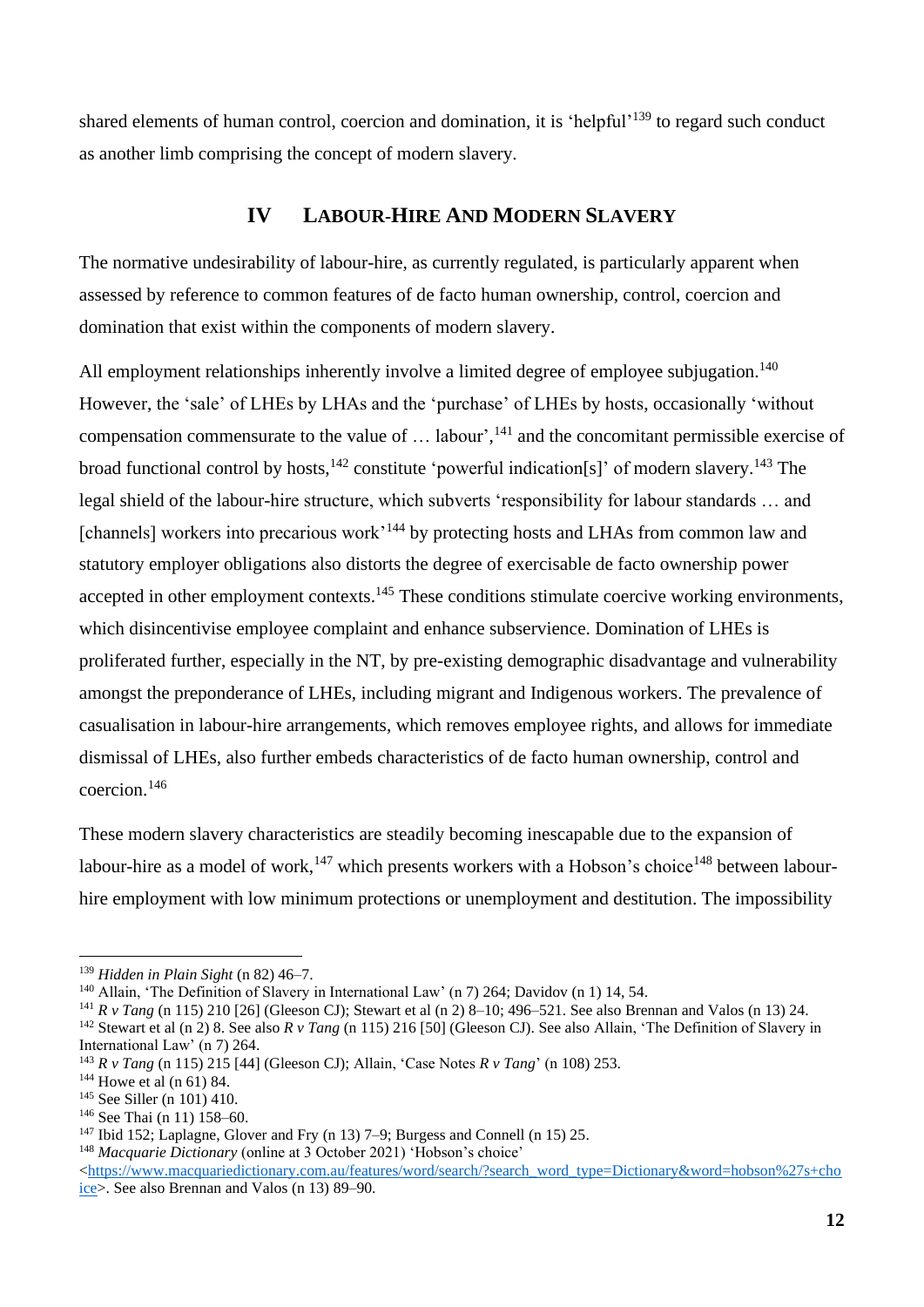shared elements of human control, coercion and domination, it is 'helpful'<sup>139</sup> to regard such conduct as another limb comprising the concept of modern slavery.

# **IV LABOUR-HIRE AND MODERN SLAVERY**

The normative undesirability of labour-hire, as currently regulated, is particularly apparent when assessed by reference to common features of de facto human ownership, control, coercion and domination that exist within the components of modern slavery.

All employment relationships inherently involve a limited degree of employee subjugation.<sup>140</sup> However, the 'sale' of LHEs by LHAs and the 'purchase' of LHEs by hosts, occasionally 'without compensation commensurate to the value of  $\dots$  labour',<sup>141</sup> and the concomitant permissible exercise of broad functional control by hosts,  $^{142}$  constitute 'powerful indication[s]' of modern slavery.  $^{143}$  The legal shield of the labour-hire structure, which subverts 'responsibility for labour standards … and [channels] workers into precarious work<sup>144</sup> by protecting hosts and LHAs from common law and statutory employer obligations also distorts the degree of exercisable de facto ownership power accepted in other employment contexts.<sup>145</sup> These conditions stimulate coercive working environments, which disincentivise employee complaint and enhance subservience. Domination of LHEs is proliferated further, especially in the NT, by pre-existing demographic disadvantage and vulnerability amongst the preponderance of LHEs, including migrant and Indigenous workers. The prevalence of casualisation in labour-hire arrangements, which removes employee rights, and allows for immediate dismissal of LHEs, also further embeds characteristics of de facto human ownership, control and coercion. 146

These modern slavery characteristics are steadily becoming inescapable due to the expansion of labour-hire as a model of work,<sup>147</sup> which presents workers with a Hobson's choice<sup>148</sup> between labourhire employment with low minimum protections or unemployment and destitution. The impossibility

<sup>139</sup> *Hidden in Plain Sight* (n 82) 46–7.

<sup>140</sup> Allain, 'The Definition of Slavery in International Law' (n 7) 264; Davidov (n 1) 14, 54.

<sup>141</sup> *R v Tang* (n 115) 210 [26] (Gleeson CJ); Stewart et al (n 2) 8–10; 496–521. See also Brennan and Valos (n 13) 24.

<sup>&</sup>lt;sup>142</sup> Stewart et al (n 2) 8. See also *R v Tang* (n 115) 216 [50] (Gleeson CJ). See also Allain, 'The Definition of Slavery in International Law' (n 7) 264.

<sup>143</sup> *R v Tang* (n 115) 215 [44] (Gleeson CJ); Allain, 'Case Notes *R v Tang*' (n 108) 253.

<sup>144</sup> Howe et al (n 61) 84.

<sup>145</sup> See Siller (n 101) 410.

<sup>146</sup> See Thai (n 11) 158–60.

 $147$  Ibid 152; Laplagne, Glover and Fry (n 13) 7–9; Burgess and Connell (n 15) 25.

<sup>&</sup>lt;sup>148</sup> *Macquarie Dictionary* (online at 3 October 2021) 'Hobson's choice'

[<sup>&</sup>lt;https://www.macquariedictionary.com.au/features/word/search/?search\\_word\\_type=Dictionary&word=hobson%27s+cho](https://www.macquariedictionary.com.au/features/word/search/?search_word_type=Dictionary&word=hobson%27s+choice) [ice>](https://www.macquariedictionary.com.au/features/word/search/?search_word_type=Dictionary&word=hobson%27s+choice). See also Brennan and Valos (n 13) 89–90.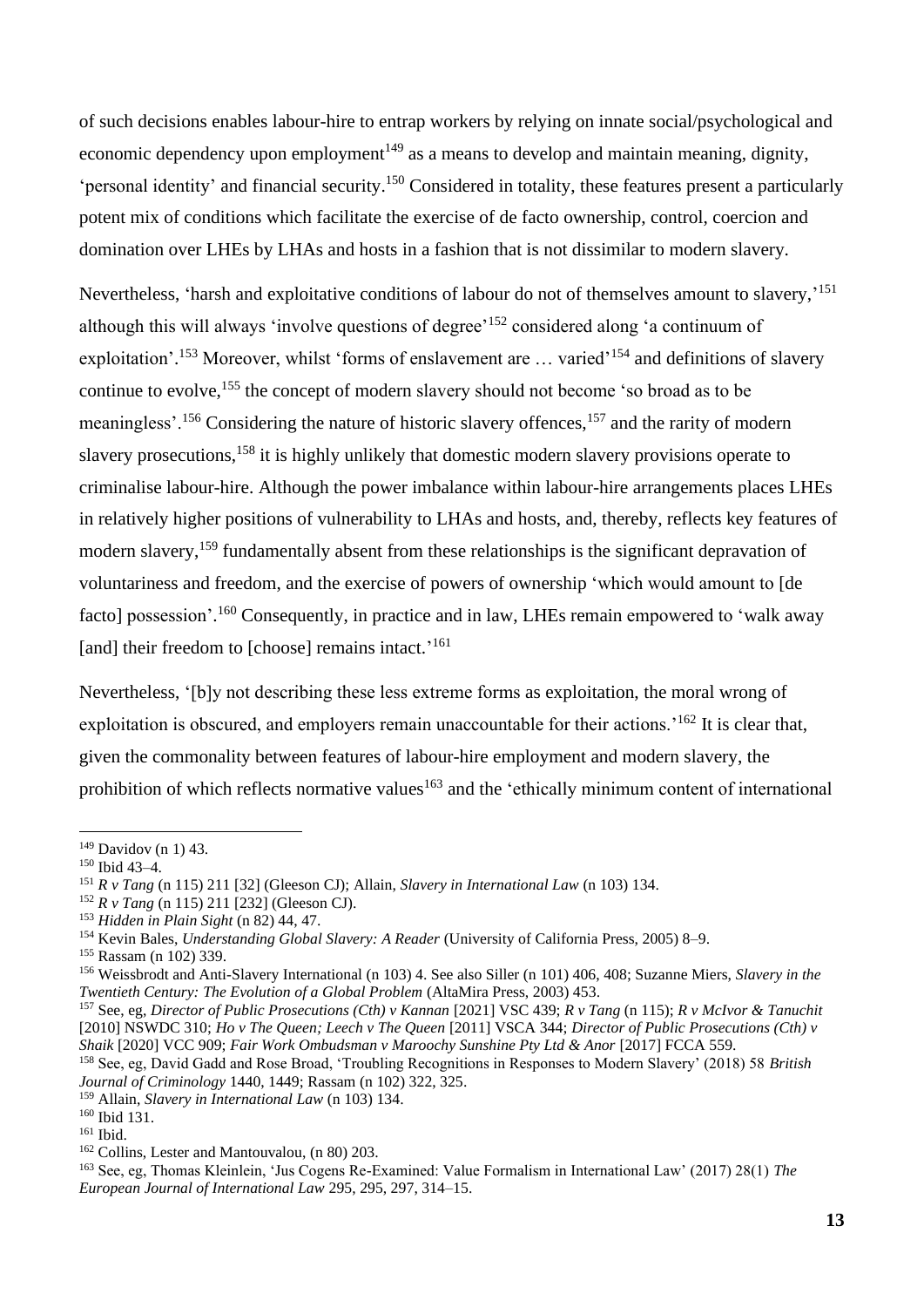of such decisions enables labour-hire to entrap workers by relying on innate social/psychological and economic dependency upon employment<sup>149</sup> as a means to develop and maintain meaning, dignity, 'personal identity' and financial security. <sup>150</sup> Considered in totality, these features present a particularly potent mix of conditions which facilitate the exercise of de facto ownership, control, coercion and domination over LHEs by LHAs and hosts in a fashion that is not dissimilar to modern slavery.

Nevertheless, 'harsh and exploitative conditions of labour do not of themselves amount to slavery,'<sup>151</sup> although this will always 'involve questions of degree'<sup>152</sup> considered along 'a continuum of exploitation'.<sup>153</sup> Moreover, whilst 'forms of enslavement are ... varied'<sup>154</sup> and definitions of slavery continue to evolve, <sup>155</sup> the concept of modern slavery should not become 'so broad as to be meaningless'.<sup>156</sup> Considering the nature of historic slavery offences,<sup>157</sup> and the rarity of modern slavery prosecutions,<sup>158</sup> it is highly unlikely that domestic modern slavery provisions operate to criminalise labour-hire. Although the power imbalance within labour-hire arrangements places LHEs in relatively higher positions of vulnerability to LHAs and hosts, and, thereby, reflects key features of modern slavery,<sup>159</sup> fundamentally absent from these relationships is the significant depravation of voluntariness and freedom, and the exercise of powers of ownership 'which would amount to [de facto] possession'.<sup>160</sup> Consequently, in practice and in law, LHEs remain empowered to 'walk away [and] their freedom to [choose] remains intact.'<sup>161</sup>

Nevertheless, '[b]y not describing these less extreme forms as exploitation, the moral wrong of exploitation is obscured, and employers remain unaccountable for their actions.<sup>'162</sup> It is clear that, given the commonality between features of labour-hire employment and modern slavery, the prohibition of which reflects normative values<sup>163</sup> and the 'ethically minimum content of international

<sup>149</sup> Davidov (n 1) 43.

<sup>150</sup> Ibid 43–4.

<sup>151</sup> *R v Tang* (n 115) 211 [32] (Gleeson CJ); Allain, *Slavery in International Law* (n 103) 134.

<sup>152</sup> *R v Tang* (n 115) 211 [232] (Gleeson CJ).

<sup>153</sup> *Hidden in Plain Sight* (n 82) 44, 47.

<sup>154</sup> Kevin Bales, *Understanding Global Slavery: A Reader* (University of California Press, 2005) 8–9.

<sup>155</sup> Rassam (n 102) 339.

<sup>156</sup> Weissbrodt and Anti-Slavery International (n 103) 4. See also Siller (n 101) 406, 408; Suzanne Miers, *Slavery in the Twentieth Century: The Evolution of a Global Problem* (AltaMira Press, 2003) 453.

<sup>157</sup> See, eg, *Director of Public Prosecutions (Cth) v Kannan* [2021] VSC 439; *R v Tang* (n 115); *R v McIvor & Tanuchit*  [2010] NSWDC 310; *Ho v The Queen; Leech v The Queen* [2011] VSCA 344; *Director of Public Prosecutions (Cth) v*  Shaik <sup>[2020]</sup> VCC 909; *Fair Work Ombudsman v Maroochy Sunshine Pty Ltd & Anor* <sup>[2017] FCCA 559.</sup>

<sup>158</sup> See, eg, David Gadd and Rose Broad, 'Troubling Recognitions in Responses to Modern Slavery' (2018) 58 *British Journal of Criminology* 1440, 1449; Rassam (n 102) 322, 325.

<sup>159</sup> Allain, *Slavery in International Law* (n 103) 134.

<sup>160</sup> Ibid 131.

<sup>161</sup> Ibid.

<sup>162</sup> Collins, Lester and Mantouvalou, (n 80) 203.

<sup>163</sup> See, eg, Thomas Kleinlein, 'Jus Cogens Re-Examined: Value Formalism in International Law' (2017) 28(1) *The European Journal of International Law* 295, 295, 297, 314–15.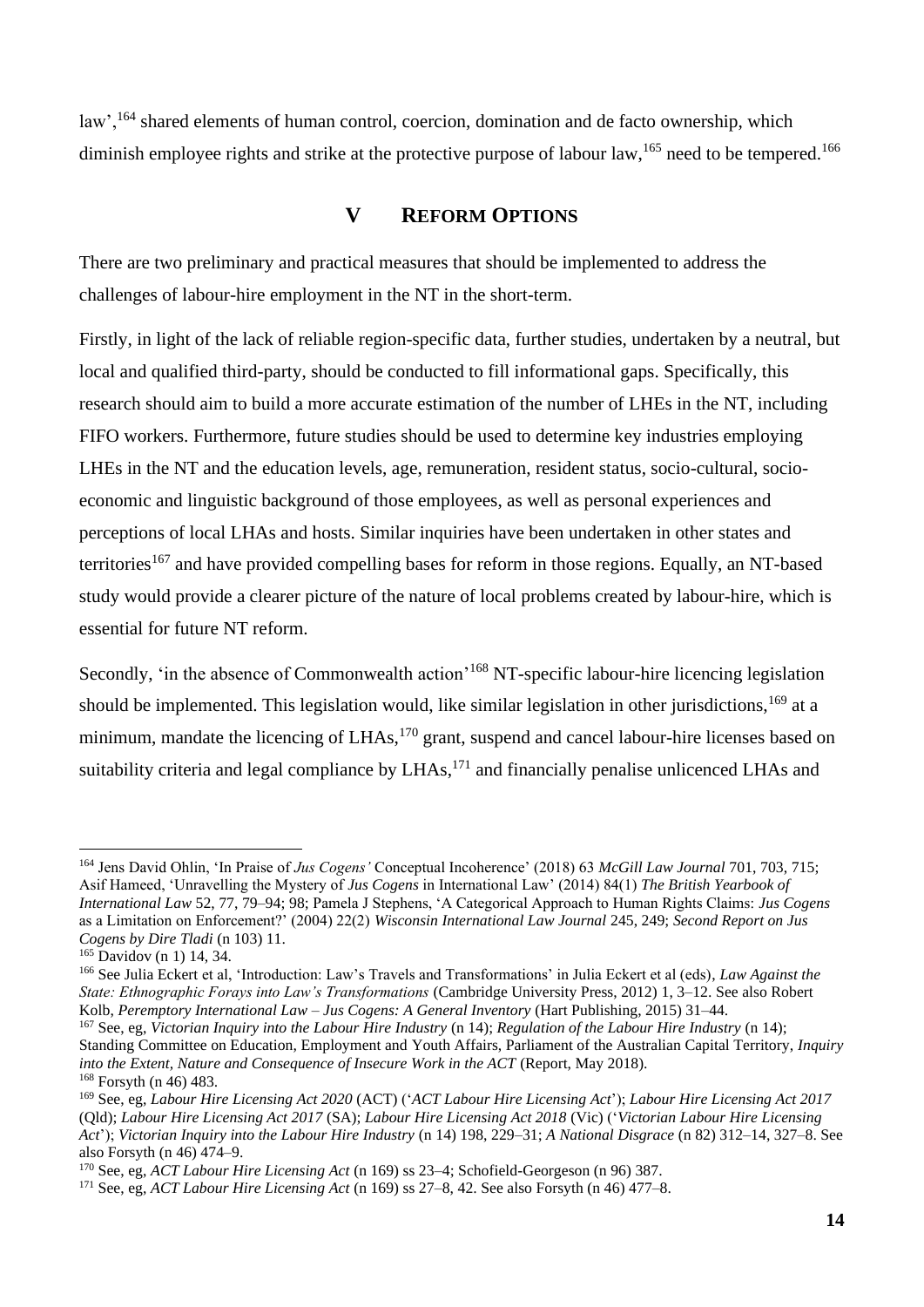law', <sup>164</sup> shared elements of human control, coercion, domination and de facto ownership, which diminish employee rights and strike at the protective purpose of labour law, <sup>165</sup> need to be tempered.<sup>166</sup>

# **V REFORM OPTIONS**

There are two preliminary and practical measures that should be implemented to address the challenges of labour-hire employment in the NT in the short-term.

Firstly, in light of the lack of reliable region-specific data, further studies, undertaken by a neutral, but local and qualified third-party, should be conducted to fill informational gaps. Specifically, this research should aim to build a more accurate estimation of the number of LHEs in the NT, including FIFO workers. Furthermore, future studies should be used to determine key industries employing LHEs in the NT and the education levels, age, remuneration, resident status, socio-cultural, socioeconomic and linguistic background of those employees, as well as personal experiences and perceptions of local LHAs and hosts. Similar inquiries have been undertaken in other states and territories<sup>167</sup> and have provided compelling bases for reform in those regions. Equally, an NT-based study would provide a clearer picture of the nature of local problems created by labour-hire, which is essential for future NT reform.

Secondly, 'in the absence of Commonwealth action'<sup>168</sup> NT-specific labour-hire licencing legislation should be implemented. This legislation would, like similar legislation in other jurisdictions,<sup>169</sup> at a minimum, mandate the licencing of LHAs,  $170$  grant, suspend and cancel labour-hire licenses based on suitability criteria and legal compliance by  $LHAs$ ,  $^{171}$  and financially penalise unlicenced LHAs and

<sup>164</sup> Jens David Ohlin, 'In Praise of *Jus Cogens'* Conceptual Incoherence' (2018) 63 *McGill Law Journal* 701, 703, 715; Asif Hameed, 'Unravelling the Mystery of *Jus Cogens* in International Law' (2014) 84(1) *The British Yearbook of International Law* 52, 77, 79–94; 98; Pamela J Stephens, 'A Categorical Approach to Human Rights Claims: *Jus Cogens*  as a Limitation on Enforcement?' (2004) 22(2) *Wisconsin International Law Journal* 245, 249; *Second Report on Jus Cogens by Dire Tladi* (n 103) 11.

<sup>165</sup> Davidov (n 1) 14, 34.

<sup>166</sup> See Julia Eckert et al, 'Introduction: Law's Travels and Transformations' in Julia Eckert et al (eds), *Law Against the State: Ethnographic Forays into Law's Transformations* (Cambridge University Press, 2012) 1, 3–12. See also Robert Kolb, *Peremptory International Law – Jus Cogens: A General Inventory* (Hart Publishing, 2015) 31–44.

<sup>167</sup> See, eg, *Victorian Inquiry into the Labour Hire Industry* (n 14); *Regulation of the Labour Hire Industry* (n 14); Standing Committee on Education, Employment and Youth Affairs, Parliament of the Australian Capital Territory, *Inquiry into the Extent, Nature and Consequence of Insecure Work in the ACT (Report, May 2018).* <sup>168</sup> Forsyth (n 46) 483.

<sup>169</sup> See, eg, *Labour Hire Licensing Act 2020* (ACT) ('*ACT Labour Hire Licensing Act*'); *Labour Hire Licensing Act 2017* (Qld); *Labour Hire Licensing Act 2017* (SA); *Labour Hire Licensing Act 2018* (Vic) ('*Victorian Labour Hire Licensing Act*'); *Victorian Inquiry into the Labour Hire Industry* (n 14) 198, 229–31; *A National Disgrace* (n 82) 312–14, 327–8. See also Forsyth (n 46) 474–9.

<sup>170</sup> See, eg, *ACT Labour Hire Licensing Act* (n 169) ss 23–4; Schofield-Georgeson (n 96) 387.

<sup>171</sup> See, eg, *ACT Labour Hire Licensing Act* (n 169) ss 27–8, 42. See also Forsyth (n 46) 477–8.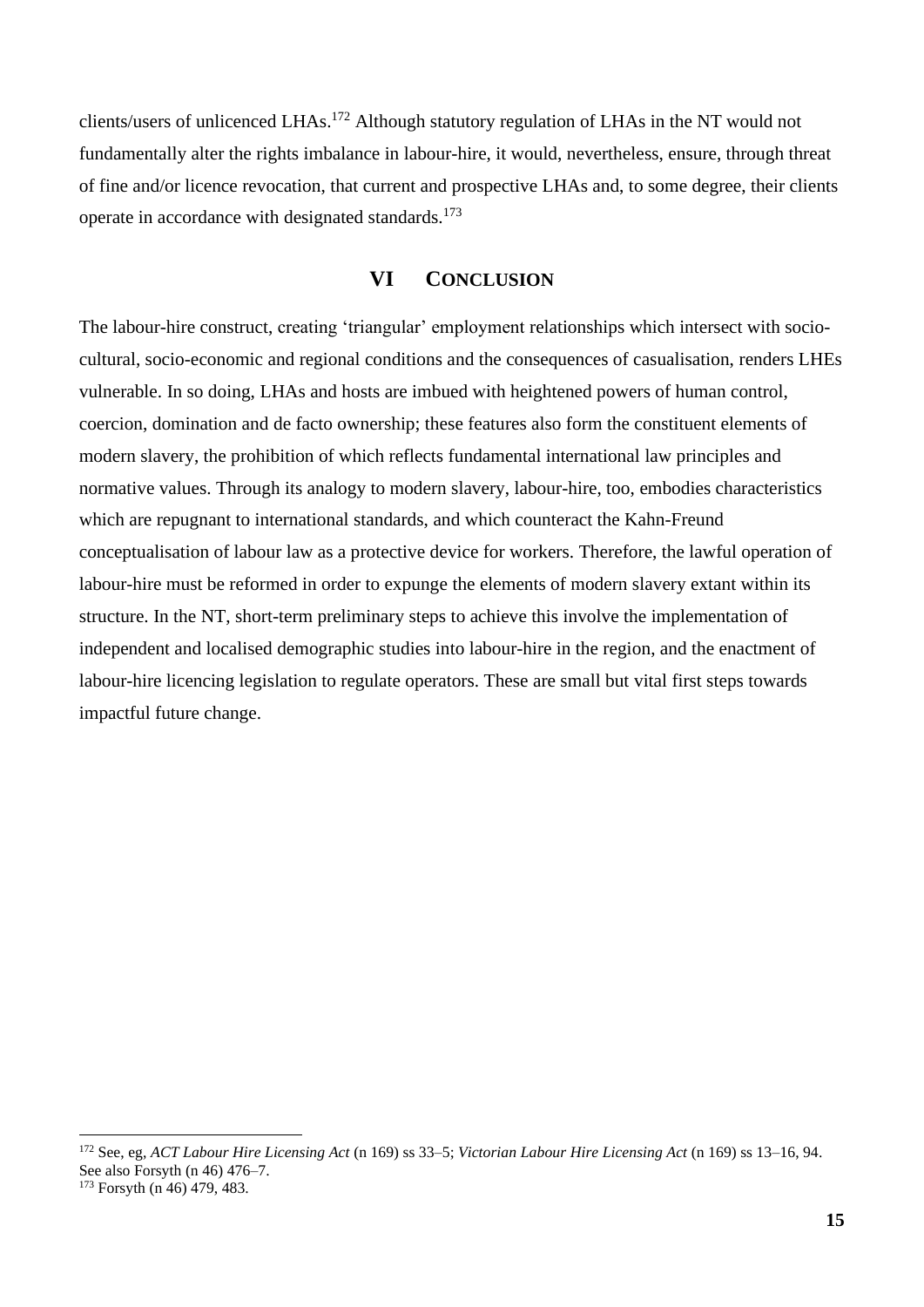clients/users of unlicenced LHAs. <sup>172</sup> Although statutory regulation of LHAs in the NT would not fundamentally alter the rights imbalance in labour-hire, it would, nevertheless, ensure, through threat of fine and/or licence revocation, that current and prospective LHAs and, to some degree, their clients operate in accordance with designated standards.<sup>173</sup>

### **VI CONCLUSION**

The labour-hire construct, creating 'triangular' employment relationships which intersect with sociocultural, socio-economic and regional conditions and the consequences of casualisation, renders LHEs vulnerable. In so doing, LHAs and hosts are imbued with heightened powers of human control, coercion, domination and de facto ownership; these features also form the constituent elements of modern slavery, the prohibition of which reflects fundamental international law principles and normative values. Through its analogy to modern slavery, labour-hire, too, embodies characteristics which are repugnant to international standards, and which counteract the Kahn-Freund conceptualisation of labour law as a protective device for workers. Therefore, the lawful operation of labour-hire must be reformed in order to expunge the elements of modern slavery extant within its structure. In the NT, short-term preliminary steps to achieve this involve the implementation of independent and localised demographic studies into labour-hire in the region, and the enactment of labour-hire licencing legislation to regulate operators. These are small but vital first steps towards impactful future change.

<sup>172</sup> See, eg, *ACT Labour Hire Licensing Act* (n 169) ss 33–5; *Victorian Labour Hire Licensing Act* (n 169) ss 13–16, 94. See also Forsyth (n 46) 476–7.

<sup>&</sup>lt;sup>173</sup> Forsyth (n 46) 479, 483.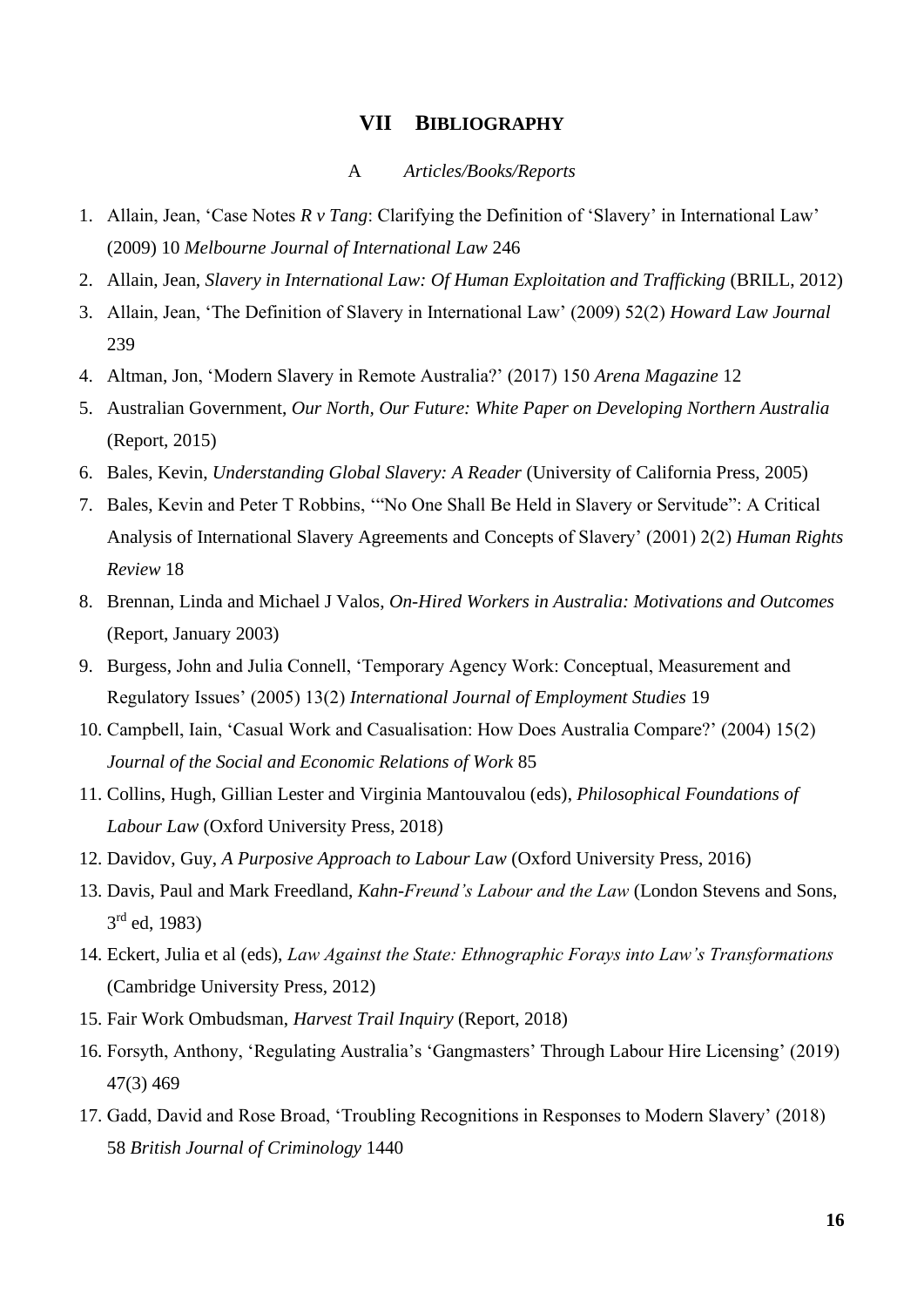#### **VII BIBLIOGRAPHY**

#### A *Articles/Books/Reports*

- 1. Allain, Jean, 'Case Notes *R v Tang*: Clarifying the Definition of 'Slavery' in International Law' (2009) 10 *Melbourne Journal of International Law* 246
- 2. Allain, Jean, *Slavery in International Law: Of Human Exploitation and Trafficking (BRILL, 2012)*
- 3. Allain, Jean, 'The Definition of Slavery in International Law' (2009) 52(2) *Howard Law Journal*  239
- 4. Altman, Jon, 'Modern Slavery in Remote Australia?' (2017) 150 *Arena Magazine* 12
- 5. Australian Government, *Our North, Our Future: White Paper on Developing Northern Australia*  (Report, 2015)
- 6. Bales, Kevin, *Understanding Global Slavery: A Reader* (University of California Press, 2005)
- 7. Bales, Kevin and Peter T Robbins, '"No One Shall Be Held in Slavery or Servitude": A Critical Analysis of International Slavery Agreements and Concepts of Slavery' (2001) 2(2) *Human Rights Review* 18
- 8. Brennan, Linda and Michael J Valos, *On-Hired Workers in Australia: Motivations and Outcomes*  (Report, January 2003)
- 9. Burgess, John and Julia Connell, 'Temporary Agency Work: Conceptual, Measurement and Regulatory Issues' (2005) 13(2) *International Journal of Employment Studies* 19
- 10. Campbell, Iain, 'Casual Work and Casualisation: How Does Australia Compare?' (2004) 15(2) *Journal of the Social and Economic Relations of Work* 85
- 11. Collins, Hugh, Gillian Lester and Virginia Mantouvalou (eds), *Philosophical Foundations of Labour Law* (Oxford University Press, 2018)
- 12. Davidov, Guy, *A Purposive Approach to Labour Law* (Oxford University Press, 2016)
- 13. Davis, Paul and Mark Freedland, *Kahn-Freund's Labour and the Law* (London Stevens and Sons, 3<sup>rd</sup> ed, 1983)
- 14. Eckert, Julia et al (eds), *Law Against the State: Ethnographic Forays into Law's Transformations*  (Cambridge University Press, 2012)
- 15. Fair Work Ombudsman, *Harvest Trail Inquiry* (Report, 2018)
- 16. Forsyth, Anthony, 'Regulating Australia's 'Gangmasters' Through Labour Hire Licensing' (2019) 47(3) 469
- 17. Gadd, David and Rose Broad, 'Troubling Recognitions in Responses to Modern Slavery' (2018) 58 *British Journal of Criminology* 1440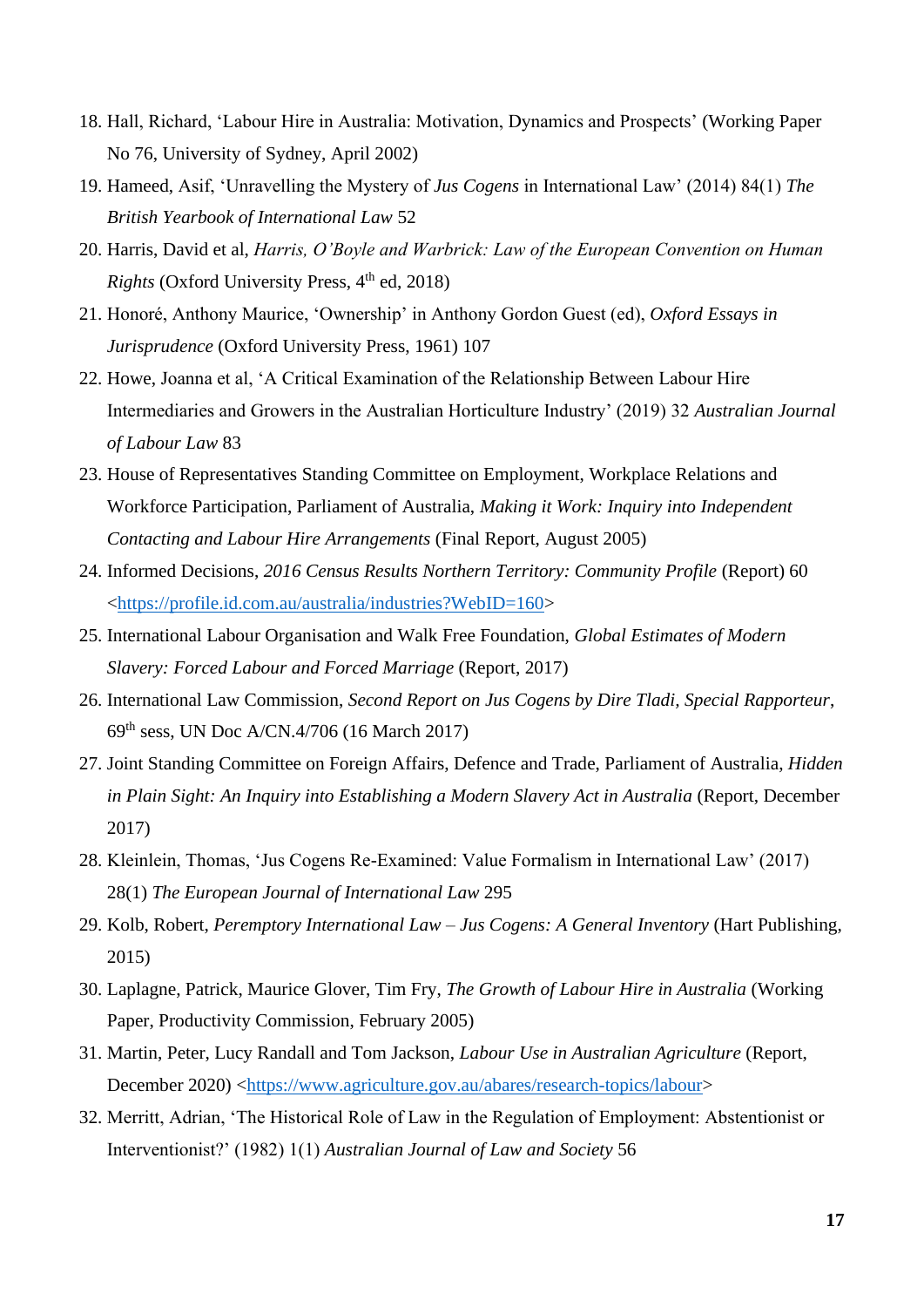- 18. Hall, Richard, 'Labour Hire in Australia: Motivation, Dynamics and Prospects' (Working Paper No 76, University of Sydney, April 2002)
- 19. Hameed, Asif, 'Unravelling the Mystery of *Jus Cogens* in International Law' (2014) 84(1) *The British Yearbook of International Law* 52
- 20. Harris, David et al, *Harris, O'Boyle and Warbrick: Law of the European Convention on Human Rights* (Oxford University Press, 4<sup>th</sup> ed, 2018)
- 21. Honoré, Anthony Maurice, 'Ownership' in Anthony Gordon Guest (ed), *Oxford Essays in Jurisprudence* (Oxford University Press, 1961) 107
- 22. Howe, Joanna et al, 'A Critical Examination of the Relationship Between Labour Hire Intermediaries and Growers in the Australian Horticulture Industry' (2019) 32 *Australian Journal of Labour Law* 83
- 23. House of Representatives Standing Committee on Employment, Workplace Relations and Workforce Participation, Parliament of Australia, *Making it Work: Inquiry into Independent Contacting and Labour Hire Arrangements* (Final Report, August 2005)
- 24. Informed Decisions, *2016 Census Results Northern Territory: Community Profile* (Report) 60 [<https://profile.id.com.au/australia/industries?WebID=160>](https://profile.id.com.au/australia/industries?WebID=160)
- 25. International Labour Organisation and Walk Free Foundation, *Global Estimates of Modern Slavery: Forced Labour and Forced Marriage* (Report, 2017)
- 26. International Law Commission, *Second Report on Jus Cogens by Dire Tladi, Special Rapporteur*, 69th sess, UN Doc A/CN.4/706 (16 March 2017)
- 27. Joint Standing Committee on Foreign Affairs, Defence and Trade, Parliament of Australia, *Hidden*  in Plain Sight: An Inquiry into Establishing a Modern Slavery Act in Australia (Report, December 2017)
- 28. Kleinlein, Thomas, 'Jus Cogens Re-Examined: Value Formalism in International Law' (2017) 28(1) *The European Journal of International Law* 295
- 29. Kolb, Robert, *Peremptory International Law – Jus Cogens: A General Inventory* (Hart Publishing, 2015)
- 30. Laplagne, Patrick, Maurice Glover, Tim Fry, *The Growth of Labour Hire in Australia* (Working Paper, Productivity Commission, February 2005)
- 31. Martin, Peter, Lucy Randall and Tom Jackson, *Labour Use in Australian Agriculture* (Report, December 2020) [<https://www.agriculture.gov.au/abares/research-topics/labour>](https://www.agriculture.gov.au/abares/research-topics/labour)
- 32. Merritt, Adrian, 'The Historical Role of Law in the Regulation of Employment: Abstentionist or Interventionist?' (1982) 1(1) *Australian Journal of Law and Society* 56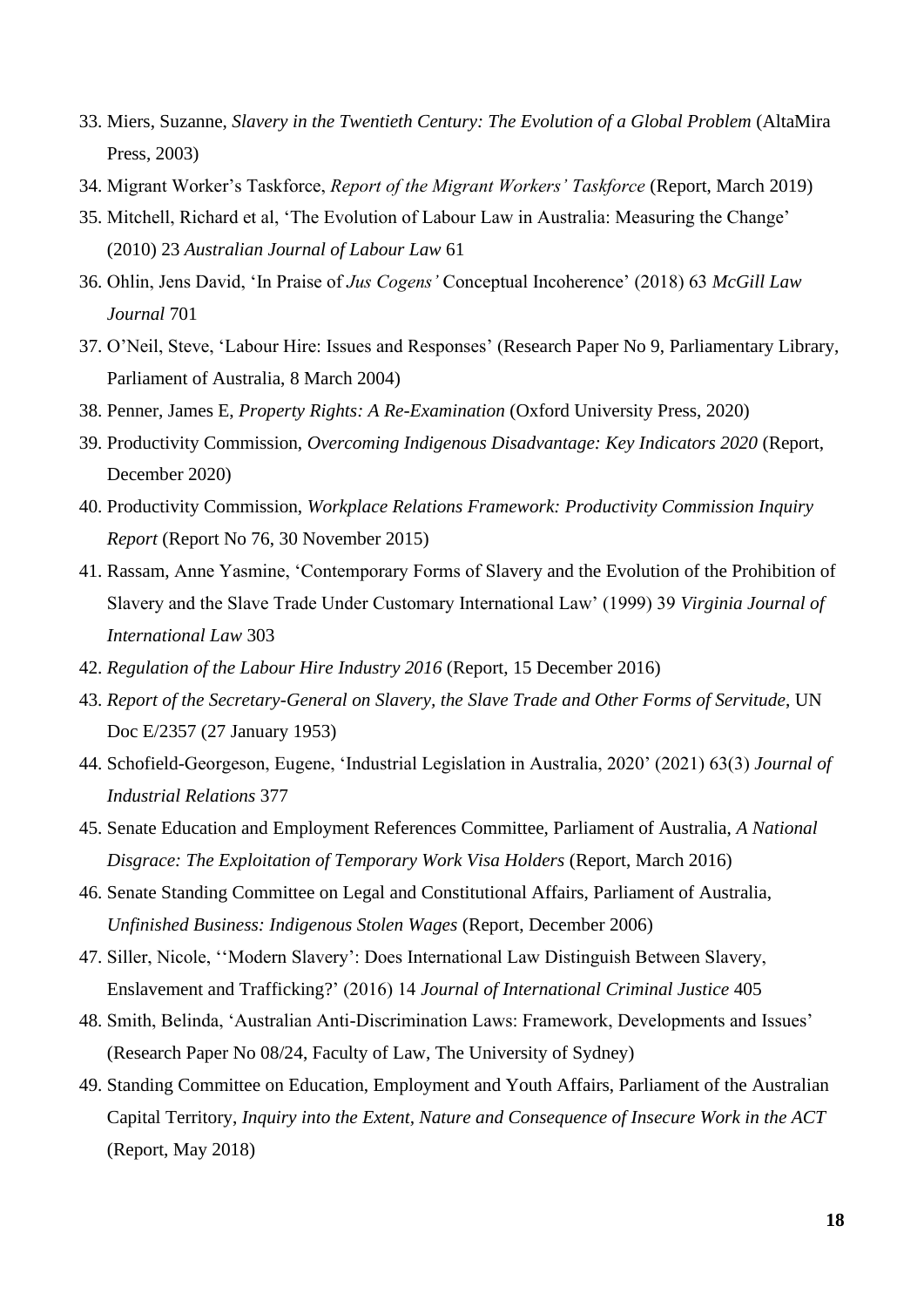- 33. Miers, Suzanne, *Slavery in the Twentieth Century: The Evolution of a Global Problem* (AltaMira Press, 2003)
- 34. Migrant Worker's Taskforce, *Report of the Migrant Workers' Taskforce* (Report, March 2019)
- 35. Mitchell, Richard et al, 'The Evolution of Labour Law in Australia: Measuring the Change' (2010) 23 *Australian Journal of Labour Law* 61
- 36. Ohlin, Jens David, 'In Praise of *Jus Cogens'* Conceptual Incoherence' (2018) 63 *McGill Law Journal* 701
- 37. O'Neil, Steve, 'Labour Hire: Issues and Responses' (Research Paper No 9, Parliamentary Library, Parliament of Australia, 8 March 2004)
- 38. Penner, James E, *Property Rights: A Re-Examination* (Oxford University Press, 2020)
- 39. Productivity Commission, *Overcoming Indigenous Disadvantage: Key Indicators 2020* (Report, December 2020)
- 40. Productivity Commission, *Workplace Relations Framework: Productivity Commission Inquiry Report* (Report No 76, 30 November 2015)
- 41. Rassam, Anne Yasmine, 'Contemporary Forms of Slavery and the Evolution of the Prohibition of Slavery and the Slave Trade Under Customary International Law' (1999) 39 *Virginia Journal of International Law* 303
- 42. *Regulation of the Labour Hire Industry 2016* (Report, 15 December 2016)
- 43. *Report of the Secretary-General on Slavery, the Slave Trade and Other Forms of Servitude*, UN Doc E/2357 (27 January 1953)
- 44. Schofield-Georgeson, Eugene, 'Industrial Legislation in Australia, 2020' (2021) 63(3) *Journal of Industrial Relations* 377
- 45. Senate Education and Employment References Committee, Parliament of Australia, *A National Disgrace: The Exploitation of Temporary Work Visa Holders* (Report, March 2016)
- 46. Senate Standing Committee on Legal and Constitutional Affairs, Parliament of Australia, *Unfinished Business: Indigenous Stolen Wages* (Report, December 2006)
- 47. Siller, Nicole, ''Modern Slavery': Does International Law Distinguish Between Slavery, Enslavement and Trafficking?' (2016) 14 *Journal of International Criminal Justice* 405
- 48. Smith, Belinda, 'Australian Anti-Discrimination Laws: Framework, Developments and Issues' (Research Paper No 08/24, Faculty of Law, The University of Sydney)
- 49. Standing Committee on Education, Employment and Youth Affairs, Parliament of the Australian Capital Territory, *Inquiry into the Extent, Nature and Consequence of Insecure Work in the ACT*  (Report, May 2018)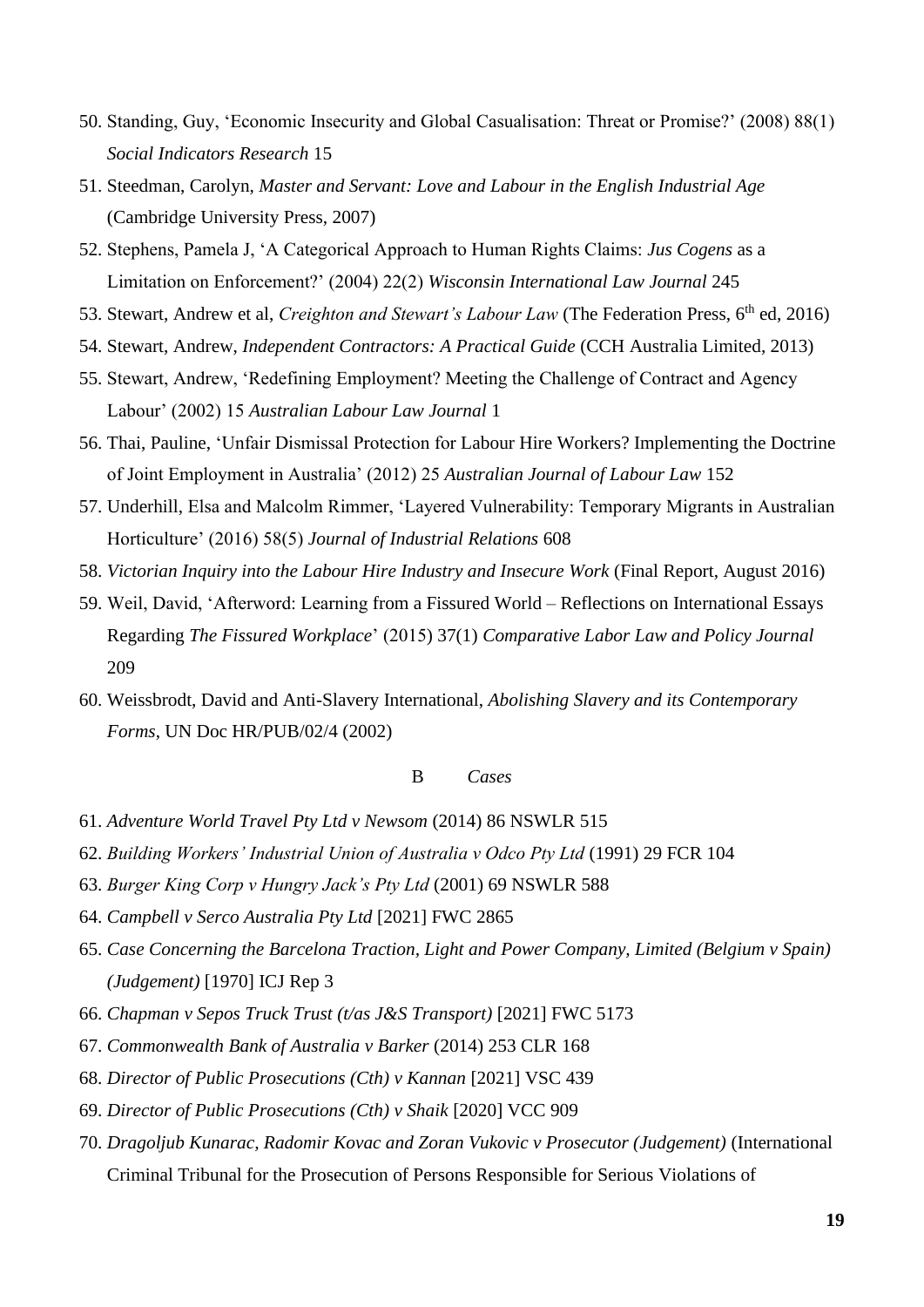- 50. Standing, Guy, 'Economic Insecurity and Global Casualisation: Threat or Promise?' (2008) 88(1) *Social Indicators Research* 15
- 51. Steedman, Carolyn, *Master and Servant: Love and Labour in the English Industrial Age*  (Cambridge University Press, 2007)
- 52. Stephens, Pamela J, 'A Categorical Approach to Human Rights Claims: *Jus Cogens* as a Limitation on Enforcement?' (2004) 22(2) *Wisconsin International Law Journal* 245
- 53. Stewart, Andrew et al, *Creighton and Stewart's Labour Law* (The Federation Press, 6th ed, 2016)
- 54. Stewart, Andrew, *Independent Contractors: A Practical Guide* (CCH Australia Limited, 2013)
- 55. Stewart, Andrew, 'Redefining Employment? Meeting the Challenge of Contract and Agency Labour' (2002) 15 *Australian Labour Law Journal* 1
- 56. Thai, Pauline, 'Unfair Dismissal Protection for Labour Hire Workers? Implementing the Doctrine of Joint Employment in Australia' (2012) 25 *Australian Journal of Labour Law* 152
- 57. Underhill, Elsa and Malcolm Rimmer, 'Layered Vulnerability: Temporary Migrants in Australian Horticulture' (2016) 58(5) *Journal of Industrial Relations* 608
- 58. *Victorian Inquiry into the Labour Hire Industry and Insecure Work* (Final Report, August 2016)
- 59. Weil, David, 'Afterword: Learning from a Fissured World Reflections on International Essays Regarding *The Fissured Workplace*' (2015) 37(1) *Comparative Labor Law and Policy Journal*  209
- 60. Weissbrodt, David and Anti-Slavery International, *Abolishing Slavery and its Contemporary Forms*, UN Doc HR/PUB/02/4 (2002)

#### B *Cases*

- 61. *Adventure World Travel Pty Ltd v Newsom* (2014) 86 NSWLR 515
- 62. *Building Workers' Industrial Union of Australia v Odco Pty Ltd* (1991) 29 FCR 104
- 63. *Burger King Corp v Hungry Jack's Pty Ltd* (2001) 69 NSWLR 588
- 64. *Campbell v Serco Australia Pty Ltd* [2021] FWC 2865
- 65. *Case Concerning the Barcelona Traction, Light and Power Company, Limited (Belgium v Spain) (Judgement)* [1970] ICJ Rep 3
- 66. *Chapman v Sepos Truck Trust (t/as J&S Transport)* [2021] FWC 5173
- 67. *Commonwealth Bank of Australia v Barker* (2014) 253 CLR 168
- 68. *Director of Public Prosecutions (Cth) v Kannan* [2021] VSC 439
- 69. *Director of Public Prosecutions (Cth) v Shaik* [2020] VCC 909
- 70. *Dragoljub Kunarac, Radomir Kovac and Zoran Vukovic v Prosecutor (Judgement)* (International Criminal Tribunal for the Prosecution of Persons Responsible for Serious Violations of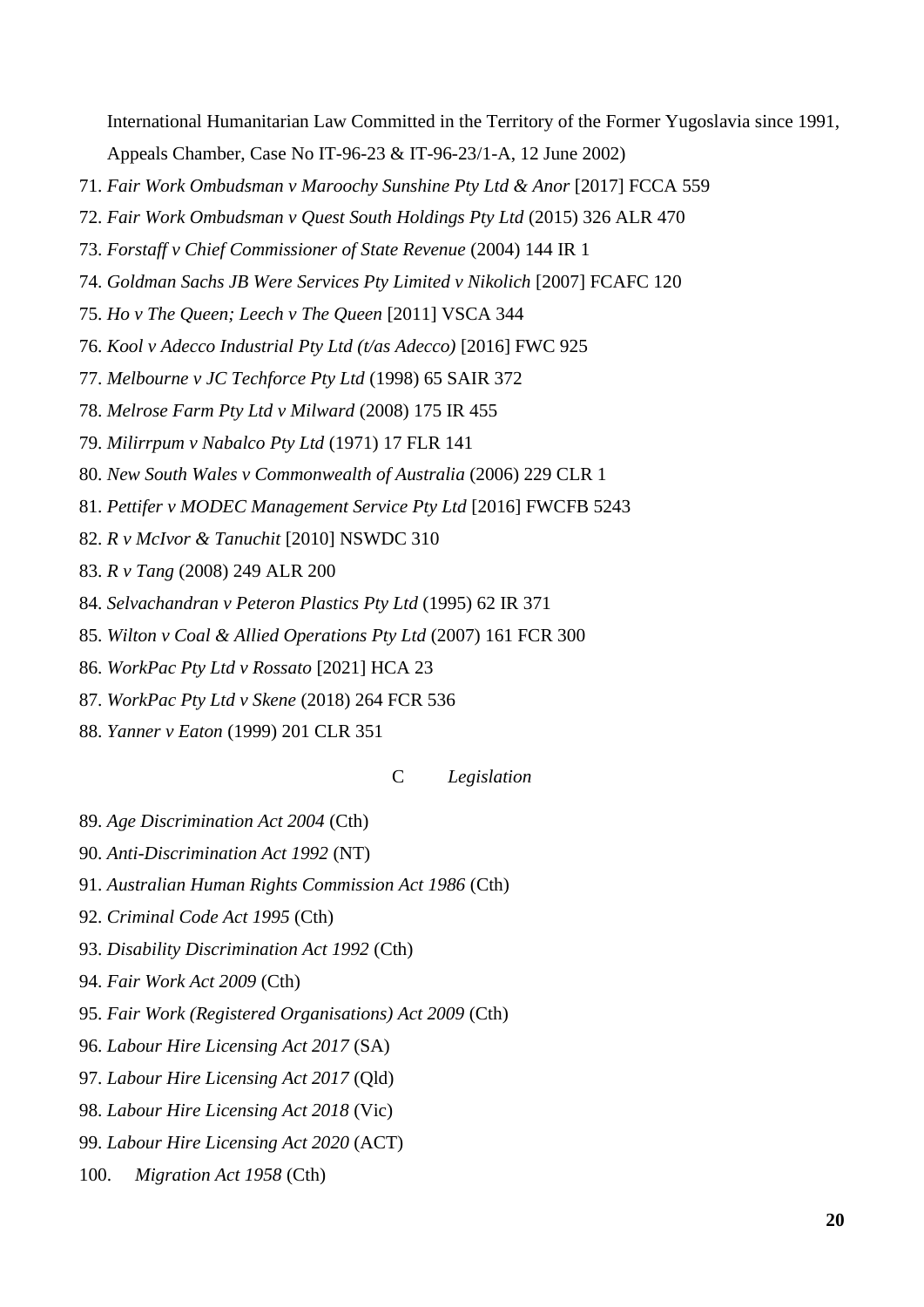International Humanitarian Law Committed in the Territory of the Former Yugoslavia since 1991, Appeals Chamber, Case No IT-96-23 & IT-96-23/1-A, 12 June 2002)

- 71. *Fair Work Ombudsman v Maroochy Sunshine Pty Ltd & Anor* [2017] FCCA 559
- 72. *Fair Work Ombudsman v Quest South Holdings Pty Ltd* (2015) 326 ALR 470
- 73. *Forstaff v Chief Commissioner of State Revenue* (2004) 144 IR 1
- 74. *Goldman Sachs JB Were Services Pty Limited v Nikolich* [2007] FCAFC 120
- 75. *Ho v The Queen; Leech v The Queen* [2011] VSCA 344
- 76. *Kool v Adecco Industrial Pty Ltd (t/as Adecco)* [2016] FWC 925
- 77. *Melbourne v JC Techforce Pty Ltd* (1998) 65 SAIR 372
- 78. *Melrose Farm Pty Ltd v Milward* (2008) 175 IR 455
- 79. *Milirrpum v Nabalco Pty Ltd* (1971) 17 FLR 141
- 80. *New South Wales v Commonwealth of Australia* (2006) 229 CLR 1
- 81. *Pettifer v MODEC Management Service Pty Ltd* [2016] FWCFB 5243
- 82. *R v McIvor & Tanuchit* [2010] NSWDC 310
- 83. *R v Tang* (2008) 249 ALR 200
- 84. *Selvachandran v Peteron Plastics Pty Ltd* (1995) 62 IR 371
- 85. *Wilton v Coal & Allied Operations Pty Ltd* (2007) 161 FCR 300
- 86. *WorkPac Pty Ltd v Rossato* [2021] HCA 23
- 87. *WorkPac Pty Ltd v Skene* (2018) 264 FCR 536
- 88. *Yanner v Eaton* (1999) 201 CLR 351

#### C *Legislation*

- 89. *Age Discrimination Act 2004* (Cth)
- 90. *Anti-Discrimination Act 1992* (NT)
- 91. *Australian Human Rights Commission Act 1986* (Cth)
- 92. *Criminal Code Act 1995* (Cth)
- 93. *Disability Discrimination Act 1992* (Cth)
- 94. *Fair Work Act 2009* (Cth)
- 95. *Fair Work (Registered Organisations) Act 2009* (Cth)
- 96. *Labour Hire Licensing Act 2017* (SA)
- 97. *Labour Hire Licensing Act 2017* (Qld)
- 98. *Labour Hire Licensing Act 2018* (Vic)
- 99. *Labour Hire Licensing Act 2020* (ACT)
- 100. *Migration Act 1958* (Cth)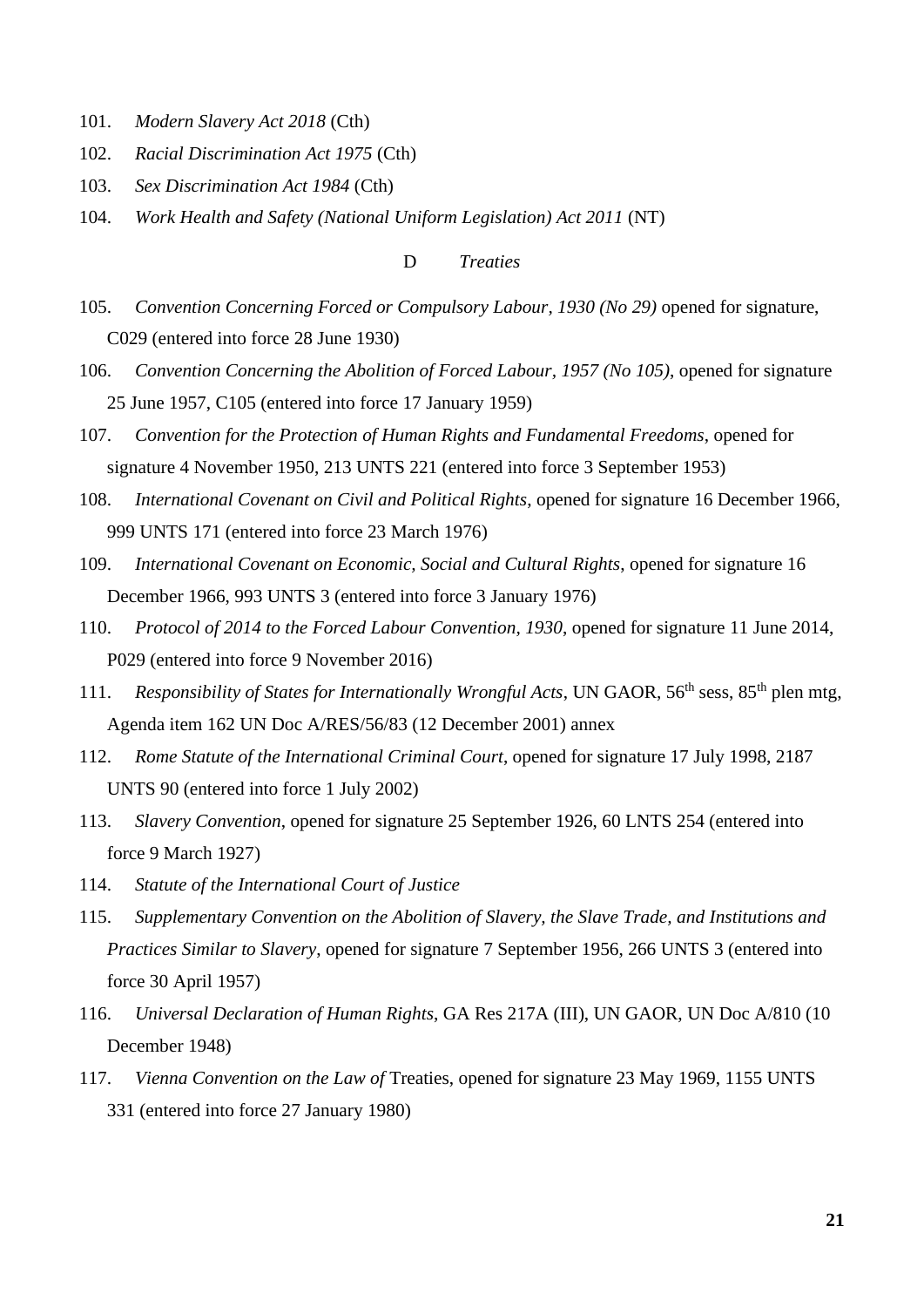- 101. *Modern Slavery Act 2018* (Cth)
- 102. *Racial Discrimination Act 1975* (Cth)
- 103. *Sex Discrimination Act 1984* (Cth)
- 104. *Work Health and Safety (National Uniform Legislation) Act 2011* (NT)

#### D *Treaties*

- 105. *Convention Concerning Forced or Compulsory Labour, 1930 (No 29)* opened for signature, C029 (entered into force 28 June 1930)
- 106. *Convention Concerning the Abolition of Forced Labour, 1957 (No 105)*, opened for signature 25 June 1957, C105 (entered into force 17 January 1959)
- 107. *Convention for the Protection of Human Rights and Fundamental Freedoms*, opened for signature 4 November 1950, 213 UNTS 221 (entered into force 3 September 1953)
- 108. *International Covenant on Civil and Political Rights*, opened for signature 16 December 1966, 999 UNTS 171 (entered into force 23 March 1976)
- 109. *International Covenant on Economic, Social and Cultural Rights*, opened for signature 16 December 1966, 993 UNTS 3 (entered into force 3 January 1976)
- 110. *Protocol of 2014 to the Forced Labour Convention, 1930*, opened for signature 11 June 2014, P029 (entered into force 9 November 2016)
- 111. *Responsibility of States for Internationally Wrongful Acts*, UN GAOR, 56<sup>th</sup> sess, 85<sup>th</sup> plen mtg, Agenda item 162 UN Doc A/RES/56/83 (12 December 2001) annex
- 112. *Rome Statute of the International Criminal Court*, opened for signature 17 July 1998, 2187 UNTS 90 (entered into force 1 July 2002)
- 113. *Slavery Convention*, opened for signature 25 September 1926, 60 LNTS 254 (entered into force 9 March 1927)
- 114. *Statute of the International Court of Justice*
- 115. *Supplementary Convention on the Abolition of Slavery, the Slave Trade, and Institutions and Practices Similar to Slavery*, opened for signature 7 September 1956, 266 UNTS 3 (entered into force 30 April 1957)
- 116. *Universal Declaration of Human Rights*, GA Res 217A (III), UN GAOR, UN Doc A/810 (10 December 1948)
- 117. *Vienna Convention on the Law of* Treaties, opened for signature 23 May 1969, 1155 UNTS 331 (entered into force 27 January 1980)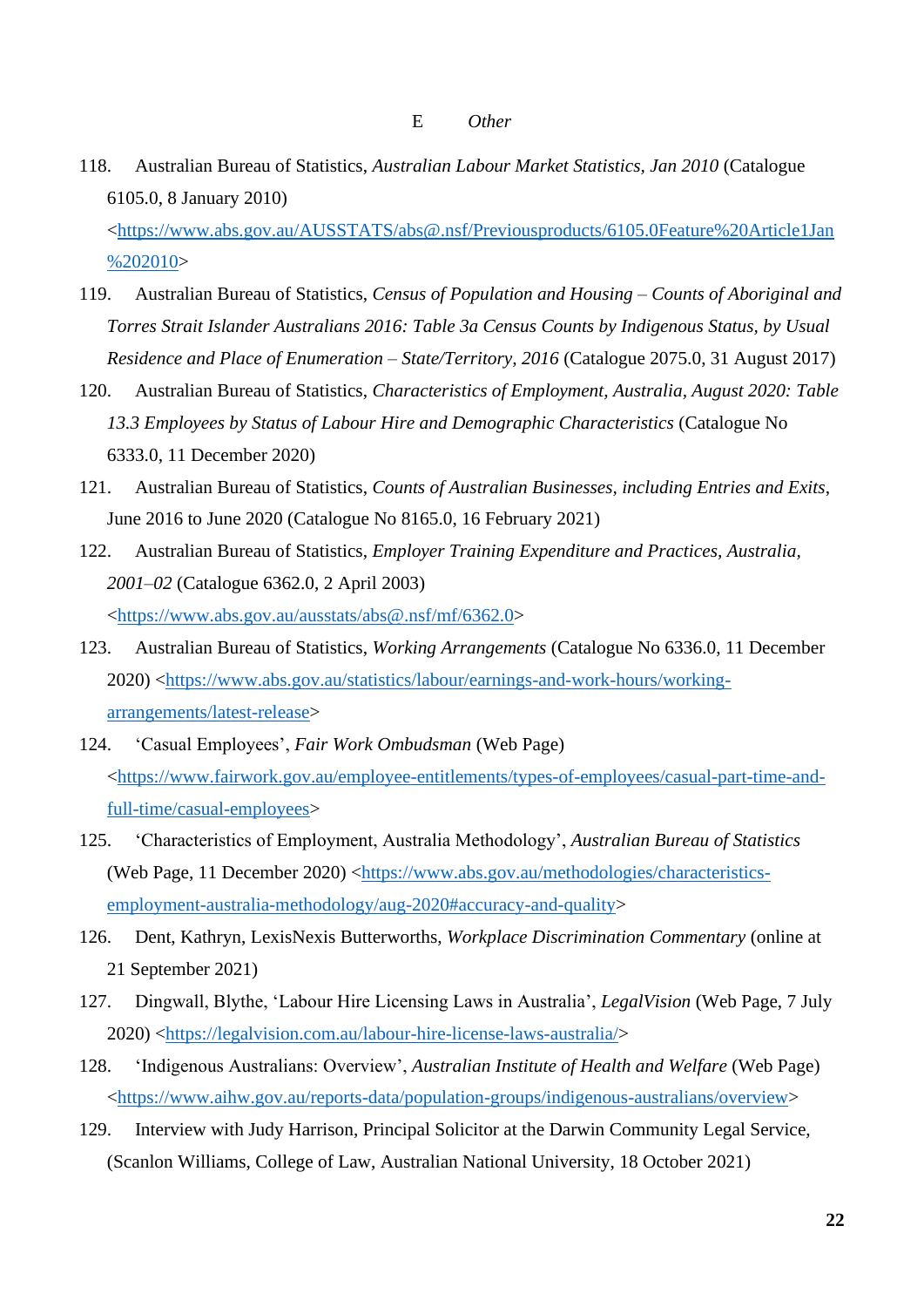118. Australian Bureau of Statistics, *Australian Labour Market Statistics, Jan 2010* (Catalogue 6105.0, 8 January 2010)

[<https://www.abs.gov.au/AUSSTATS/abs@.nsf/Previousproducts/6105.0Feature%20Article1Jan](https://www.abs.gov.au/AUSSTATS/abs@.nsf/Previousproducts/6105.0Feature%20Article1Jan%202010) [%202010>](https://www.abs.gov.au/AUSSTATS/abs@.nsf/Previousproducts/6105.0Feature%20Article1Jan%202010)

- 119. Australian Bureau of Statistics, *Census of Population and Housing – Counts of Aboriginal and Torres Strait Islander Australians 2016: Table 3a Census Counts by Indigenous Status, by Usual Residence and Place of Enumeration – State/Territory, 2016* (Catalogue 2075.0, 31 August 2017)
- 120. Australian Bureau of Statistics, *Characteristics of Employment, Australia, August 2020: Table 13.3 Employees by Status of Labour Hire and Demographic Characteristics* (Catalogue No 6333.0, 11 December 2020)
- 121. Australian Bureau of Statistics, *Counts of Australian Businesses, including Entries and Exits*, June 2016 to June 2020 (Catalogue No 8165.0, 16 February 2021)
- 122. Australian Bureau of Statistics, *Employer Training Expenditure and Practices, Australia, 2001–02* (Catalogue 6362.0, 2 April 2003) [<https://www.abs.gov.au/ausstats/abs@.nsf/mf/6362.0>](https://www.abs.gov.au/ausstats/abs@.nsf/mf/6362.0)
- 123. Australian Bureau of Statistics, *Working Arrangements* (Catalogue No 6336.0, 11 December 2020) [<https://www.abs.gov.au/statistics/labour/earnings-and-work-hours/working](https://www.abs.gov.au/statistics/labour/earnings-and-work-hours/working-arrangements/latest-release)[arrangements/latest-release>](https://www.abs.gov.au/statistics/labour/earnings-and-work-hours/working-arrangements/latest-release)
- 124. 'Casual Employees', *Fair Work Ombudsman* (Web Page) [<https://www.fairwork.gov.au/employee-entitlements/types-of-employees/casual-part-time-and](https://www.fairwork.gov.au/employee-entitlements/types-of-employees/casual-part-time-and-full-time/casual-employees)[full-time/casual-employees>](https://www.fairwork.gov.au/employee-entitlements/types-of-employees/casual-part-time-and-full-time/casual-employees)
- 125. 'Characteristics of Employment, Australia Methodology', *Australian Bureau of Statistics*  (Web Page, 11 December 2020) [<https://www.abs.gov.au/methodologies/characteristics](https://www.abs.gov.au/methodologies/characteristics-employment-australia-methodology/aug-2020#accuracy-and-quality)[employment-australia-methodology/aug-2020#accuracy-and-quality>](https://www.abs.gov.au/methodologies/characteristics-employment-australia-methodology/aug-2020#accuracy-and-quality)
- 126. Dent, Kathryn, LexisNexis Butterworths, *Workplace Discrimination Commentary* (online at 21 September 2021)
- 127. Dingwall, Blythe, 'Labour Hire Licensing Laws in Australia', *LegalVision* (Web Page, 7 July 2020) [<https://legalvision.com.au/labour-hire-license-laws-australia/>](https://legalvision.com.au/labour-hire-license-laws-australia/)
- 128. 'Indigenous Australians: Overview', *Australian Institute of Health and Welfare* (Web Page) [<https://www.aihw.gov.au/reports-data/population-groups/indigenous-australians/overview>](https://www.aihw.gov.au/reports-data/population-groups/indigenous-australians/overview)
- 129. Interview with Judy Harrison, Principal Solicitor at the Darwin Community Legal Service, (Scanlon Williams, College of Law, Australian National University, 18 October 2021)